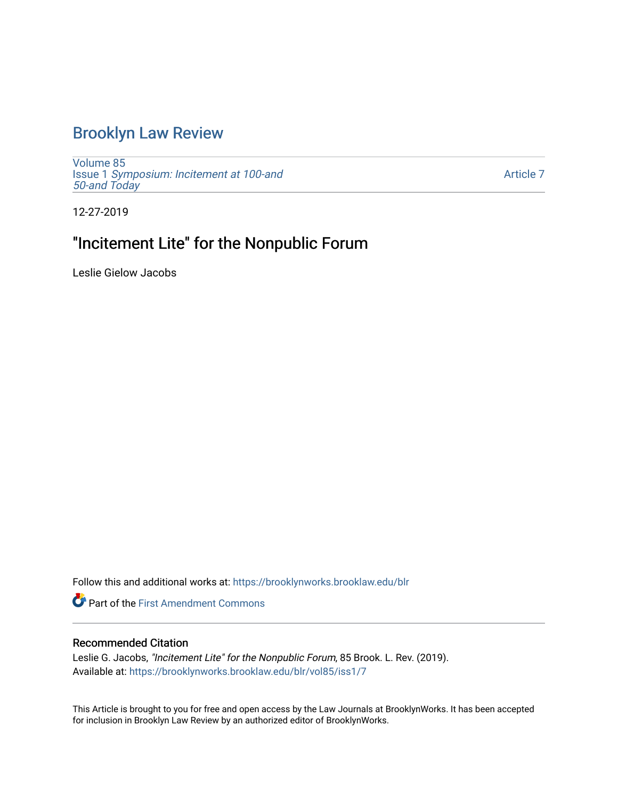# [Brooklyn Law Review](https://brooklynworks.brooklaw.edu/blr)

[Volume 85](https://brooklynworks.brooklaw.edu/blr/vol85) Issue 1 [Symposium: Incitement at 100-and](https://brooklynworks.brooklaw.edu/blr/vol85/iss1)  [50-and Today](https://brooklynworks.brooklaw.edu/blr/vol85/iss1) 

[Article 7](https://brooklynworks.brooklaw.edu/blr/vol85/iss1/7) 

12-27-2019

# "Incitement Lite" for the Nonpublic Forum

Leslie Gielow Jacobs

Follow this and additional works at: [https://brooklynworks.brooklaw.edu/blr](https://brooklynworks.brooklaw.edu/blr?utm_source=brooklynworks.brooklaw.edu%2Fblr%2Fvol85%2Fiss1%2F7&utm_medium=PDF&utm_campaign=PDFCoverPages) 

**P** Part of the First Amendment Commons

# Recommended Citation

Leslie G. Jacobs, "Incitement Lite" for the Nonpublic Forum, 85 Brook. L. Rev. (2019). Available at: [https://brooklynworks.brooklaw.edu/blr/vol85/iss1/7](https://brooklynworks.brooklaw.edu/blr/vol85/iss1/7?utm_source=brooklynworks.brooklaw.edu%2Fblr%2Fvol85%2Fiss1%2F7&utm_medium=PDF&utm_campaign=PDFCoverPages)

This Article is brought to you for free and open access by the Law Journals at BrooklynWorks. It has been accepted for inclusion in Brooklyn Law Review by an authorized editor of BrooklynWorks.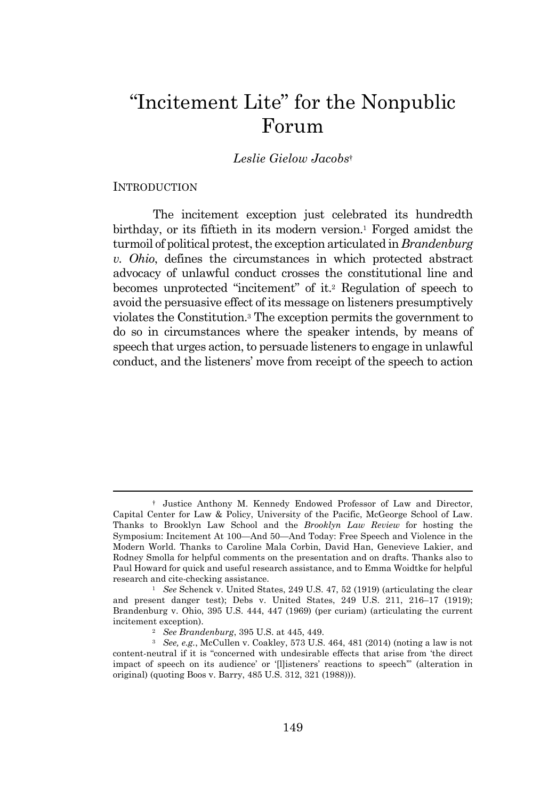# "Incitement Lite" for the Nonpublic Forum

### *Leslie Gielow Jacobs*†

#### INTRODUCTION

The incitement exception just celebrated its hundredth birthday, or its fiftieth in its modern version.<sup>1</sup> Forged amidst the turmoil of political protest, the exception articulated in *Brandenburg v. Ohio*, defines the circumstances in which protected abstract advocacy of unlawful conduct crosses the constitutional line and becomes unprotected "incitement" of it.<sup>2</sup> Regulation of speech to avoid the persuasive effect of its message on listeners presumptively violates the Constitution.<sup>3</sup> The exception permits the government to do so in circumstances where the speaker intends, by means of speech that urges action, to persuade listeners to engage in unlawful conduct, and the listeners' move from receipt of the speech to action

<sup>†</sup> Justice Anthony M. Kennedy Endowed Professor of Law and Director, Capital Center for Law & Policy, University of the Pacific, McGeorge School of Law. Thanks to Brooklyn Law School and the *Brooklyn Law Review* for hosting the Symposium: Incitement At 100—And 50—And Today: Free Speech and Violence in the Modern World. Thanks to Caroline Mala Corbin, David Han, Genevieve Lakier, and Rodney Smolla for helpful comments on the presentation and on drafts. Thanks also to Paul Howard for quick and useful research assistance, and to Emma Woidtke for helpful research and cite-checking assistance.

<sup>1</sup> *See* Schenck v. United States, 249 U.S. 47, 52 (1919) (articulating the clear and present danger test); Debs v. United States, 249 U.S. 211, 216–17 (1919); Brandenburg v. Ohio, 395 U.S. 444, 447 (1969) (per curiam) (articulating the current incitement exception).

<sup>2</sup> *See Brandenburg*, 395 U.S. at 445, 449.

<sup>3</sup> *See, e.g.*, McCullen v. Coakley, 573 U.S. 464, 481 (2014) (noting a law is not content-neutral if it is "concerned with undesirable effects that arise from 'the direct impact of speech on its audience' or '[l]isteners' reactions to speech'" (alteration in original) (quoting Boos v. Barry, 485 U.S. 312, 321 (1988))).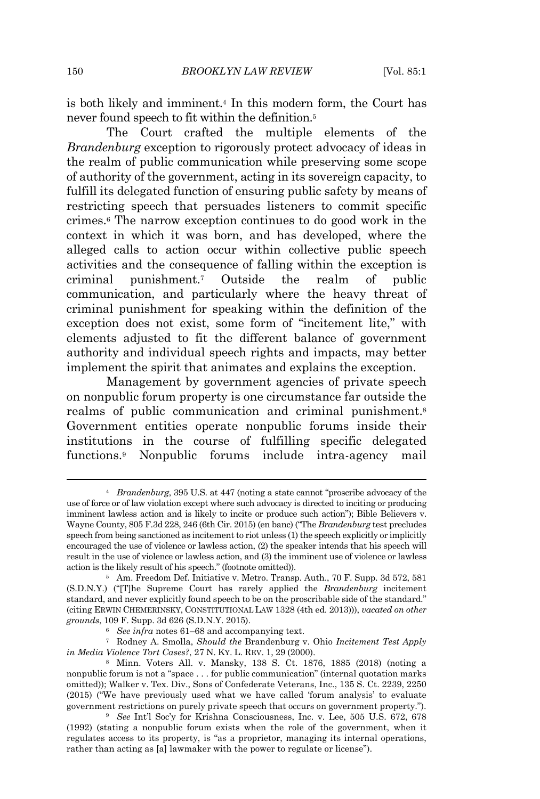is both likely and imminent.<sup>4</sup> In this modern form, the Court has never found speech to fit within the definition.<sup>5</sup>

The Court crafted the multiple elements of the *Brandenburg* exception to rigorously protect advocacy of ideas in the realm of public communication while preserving some scope of authority of the government, acting in its sovereign capacity, to fulfill its delegated function of ensuring public safety by means of restricting speech that persuades listeners to commit specific crimes.<sup>6</sup> The narrow exception continues to do good work in the context in which it was born, and has developed, where the alleged calls to action occur within collective public speech activities and the consequence of falling within the exception is criminal punishment.<sup>7</sup> Outside the realm of public communication, and particularly where the heavy threat of criminal punishment for speaking within the definition of the exception does not exist, some form of "incitement lite," with elements adjusted to fit the different balance of government authority and individual speech rights and impacts, may better implement the spirit that animates and explains the exception.

Management by government agencies of private speech on nonpublic forum property is one circumstance far outside the realms of public communication and criminal punishment.<sup>8</sup> Government entities operate nonpublic forums inside their institutions in the course of fulfilling specific delegated functions.<sup>9</sup> Nonpublic forums include intra-agency mail

<sup>7</sup> Rodney A. Smolla, *Should the* Brandenburg v. Ohio *Incitement Test Apply in Media Violence Tort Cases?*, 27 N. KY. L. REV. 1, 29 (2000).

<sup>4</sup> *Brandenburg*, 395 U.S. at 447 (noting a state cannot "proscribe advocacy of the use of force or of law violation except where such advocacy is directed to inciting or producing imminent lawless action and is likely to incite or produce such action"); Bible Believers v. Wayne County, 805 F.3d 228, 246 (6th Cir. 2015) (en banc) ("The *Brandenburg* test precludes speech from being sanctioned as incitement to riot unless (1) the speech explicitly or implicitly encouraged the use of violence or lawless action, (2) the speaker intends that his speech will result in the use of violence or lawless action, and (3) the imminent use of violence or lawless action is the likely result of his speech." (footnote omitted)).

<sup>5</sup> Am. Freedom Def. Initiative v. Metro. Transp. Auth., 70 F. Supp. 3d 572, 581 (S.D.N.Y.) ("[T]he Supreme Court has rarely applied the *Brandenburg* incitement standard, and never explicitly found speech to be on the proscribable side of the standard." (citing ERWIN CHEMERINSKY, CONSTITUTIONAL LAW 1328 (4th ed. 2013))), *vacated on other grounds*, 109 F. Supp. 3d 626 (S.D.N.Y. 2015).

<sup>6</sup> *See infra* notes 61–68 and accompanying text.

<sup>8</sup> Minn. Voters All. v. Mansky, 138 S. Ct. 1876, 1885 (2018) (noting a nonpublic forum is not a "space . . . for public communication" (internal quotation marks omitted)); Walker v. Tex. Div., Sons of Confederate Veterans, Inc., 135 S. Ct. 2239, 2250 (2015) ("We have previously used what we have called 'forum analysis' to evaluate government restrictions on purely private speech that occurs on government property.").

<sup>9</sup> *See* Int'l Soc'y for Krishna Consciousness, Inc. v. Lee, 505 U.S. 672, 678 (1992) (stating a nonpublic forum exists when the role of the government, when it regulates access to its property, is "as a proprietor, managing its internal operations, rather than acting as [a] lawmaker with the power to regulate or license").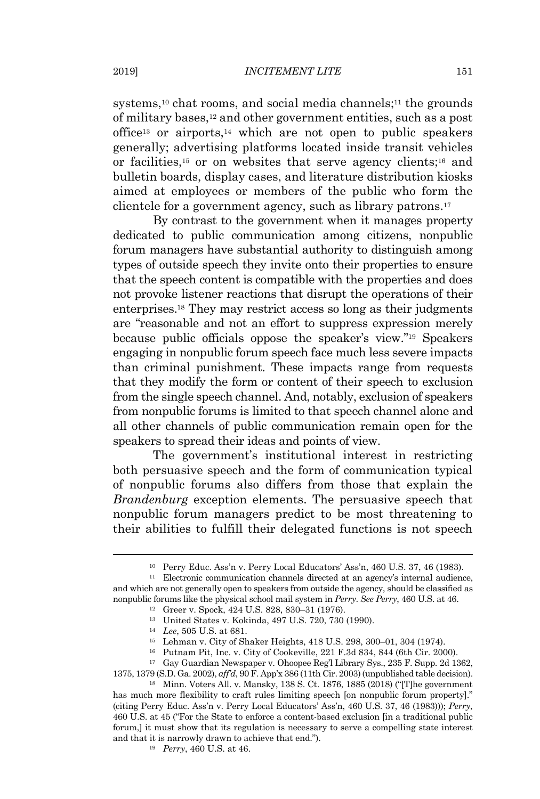systems,<sup>10</sup> chat rooms, and social media channels;<sup>11</sup> the grounds of military bases,<sup>12</sup> and other government entities, such as a post office<sup>13</sup> or airports,<sup>14</sup> which are not open to public speakers generally; advertising platforms located inside transit vehicles or facilities, <sup>15</sup> or on websites that serve agency clients;<sup>16</sup> and bulletin boards, display cases, and literature distribution kiosks aimed at employees or members of the public who form the clientele for a government agency, such as library patrons.<sup>17</sup>

By contrast to the government when it manages property dedicated to public communication among citizens, nonpublic forum managers have substantial authority to distinguish among types of outside speech they invite onto their properties to ensure that the speech content is compatible with the properties and does not provoke listener reactions that disrupt the operations of their enterprises.<sup>18</sup> They may restrict access so long as their judgments are "reasonable and not an effort to suppress expression merely because public officials oppose the speaker's view."<sup>19</sup> Speakers engaging in nonpublic forum speech face much less severe impacts than criminal punishment. These impacts range from requests that they modify the form or content of their speech to exclusion from the single speech channel. And, notably, exclusion of speakers from nonpublic forums is limited to that speech channel alone and all other channels of public communication remain open for the speakers to spread their ideas and points of view.

The government's institutional interest in restricting both persuasive speech and the form of communication typical of nonpublic forums also differs from those that explain the *Brandenburg* exception elements. The persuasive speech that nonpublic forum managers predict to be most threatening to their abilities to fulfill their delegated functions is not speech

<sup>10</sup> Perry Educ. Ass'n v. Perry Local Educators' Ass'n, 460 U.S. 37, 46 (1983).

<sup>11</sup> Electronic communication channels directed at an agency's internal audience, and which are not generally open to speakers from outside the agency, should be classified as nonpublic forums like the physical school mail system in *Perry*. *See Perry*, 460 U.S. at 46.

<sup>12</sup> Greer v. Spock, 424 U.S. 828, 830–31 (1976).

<sup>13</sup> United States v. Kokinda, 497 U.S. 720, 730 (1990).

<sup>14</sup> *Lee*, 505 U.S. at 681.

<sup>15</sup> Lehman v. City of Shaker Heights, 418 U.S. 298, 300–01, 304 (1974).

<sup>16</sup> Putnam Pit, Inc. v. City of Cookeville, 221 F.3d 834, 844 (6th Cir. 2000).

<sup>17</sup> Gay Guardian Newspaper v. Ohoopee Reg'l Library Sys., 235 F. Supp. 2d 1362, 1375, 1379 (S.D. Ga. 2002), *aff'd*, 90 F. App'x 386 (11th Cir. 2003) (unpublished table decision).

<sup>18</sup> Minn. Voters All. v. Mansky, 138 S. Ct. 1876, 1885 (2018) ("[T]he government has much more flexibility to craft rules limiting speech [on nonpublic forum property]." (citing Perry Educ. Ass'n v. Perry Local Educators' Ass'n, 460 U.S. 37, 46 (1983))); *Perry*, 460 U.S. at 45 ("For the State to enforce a content-based exclusion [in a traditional public forum,] it must show that its regulation is necessary to serve a compelling state interest and that it is narrowly drawn to achieve that end.").

<sup>19</sup> *Perry*, 460 U.S. at 46.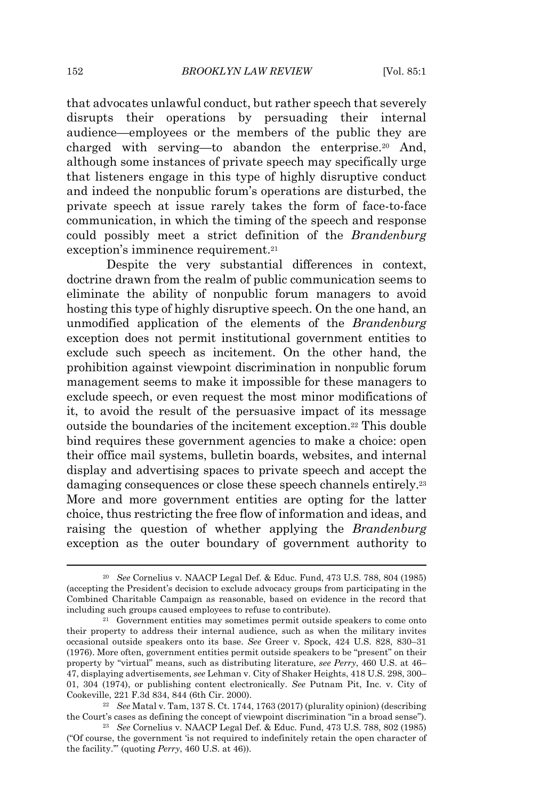that advocates unlawful conduct, but rather speech that severely disrupts their operations by persuading their internal audience—employees or the members of the public they are charged with serving—to abandon the enterprise.<sup>20</sup> And, although some instances of private speech may specifically urge that listeners engage in this type of highly disruptive conduct and indeed the nonpublic forum's operations are disturbed, the private speech at issue rarely takes the form of face-to-face communication, in which the timing of the speech and response could possibly meet a strict definition of the *Brandenburg* exception's imminence requirement. 21

Despite the very substantial differences in context, doctrine drawn from the realm of public communication seems to eliminate the ability of nonpublic forum managers to avoid hosting this type of highly disruptive speech. On the one hand, an unmodified application of the elements of the *Brandenburg* exception does not permit institutional government entities to exclude such speech as incitement. On the other hand, the prohibition against viewpoint discrimination in nonpublic forum management seems to make it impossible for these managers to exclude speech, or even request the most minor modifications of it, to avoid the result of the persuasive impact of its message outside the boundaries of the incitement exception. <sup>22</sup> This double bind requires these government agencies to make a choice: open their office mail systems, bulletin boards, websites, and internal display and advertising spaces to private speech and accept the damaging consequences or close these speech channels entirely.<sup>23</sup> More and more government entities are opting for the latter choice, thus restricting the free flow of information and ideas, and raising the question of whether applying the *Brandenburg* exception as the outer boundary of government authority to

<sup>20</sup> *See* Cornelius v. NAACP Legal Def. & Educ. Fund, 473 U.S. 788, 804 (1985) (accepting the President's decision to exclude advocacy groups from participating in the Combined Charitable Campaign as reasonable, based on evidence in the record that including such groups caused employees to refuse to contribute).

<sup>21</sup> Government entities may sometimes permit outside speakers to come onto their property to address their internal audience, such as when the military invites occasional outside speakers onto its base. *See* Greer v. Spock, 424 U.S. 828, 830–31 (1976). More often, government entities permit outside speakers to be "present" on their property by "virtual" means, such as distributing literature, *see Perry*, 460 U.S. at 46– 47, displaying advertisements, *see* Lehman v. City of Shaker Heights, 418 U.S. 298, 300– 01, 304 (1974), or publishing content electronically. *See* Putnam Pit, Inc. v. City of Cookeville, 221 F.3d 834, 844 (6th Cir. 2000).

<sup>22</sup> *See* Matal v. Tam, 137 S. Ct. 1744, 1763 (2017) (plurality opinion) (describing the Court's cases as defining the concept of viewpoint discrimination "in a broad sense").

<sup>23</sup> *See* Cornelius v. NAACP Legal Def. & Educ. Fund, 473 U.S. 788, 802 (1985) ("Of course, the government 'is not required to indefinitely retain the open character of the facility.'" (quoting *Perry*, 460 U.S. at 46)).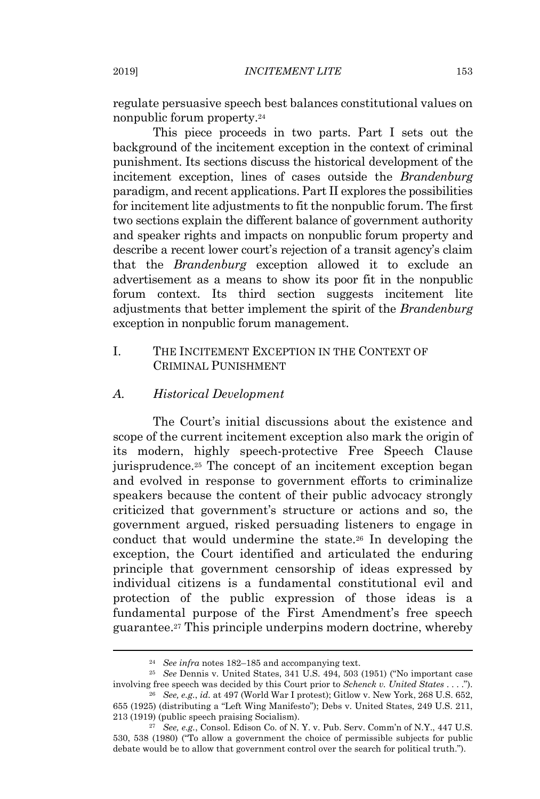regulate persuasive speech best balances constitutional values on nonpublic forum property.<sup>24</sup>

This piece proceeds in two parts. Part I sets out the background of the incitement exception in the context of criminal punishment. Its sections discuss the historical development of the incitement exception, lines of cases outside the *Brandenburg* paradigm, and recent applications. Part II explores the possibilities for incitement lite adjustments to fit the nonpublic forum. The first two sections explain the different balance of government authority and speaker rights and impacts on nonpublic forum property and describe a recent lower court's rejection of a transit agency's claim that the *Brandenburg* exception allowed it to exclude an advertisement as a means to show its poor fit in the nonpublic forum context. Its third section suggests incitement lite adjustments that better implement the spirit of the *Brandenburg* exception in nonpublic forum management.

# I. THE INCITEMENT EXCEPTION IN THE CONTEXT OF CRIMINAL PUNISHMENT

### *A. Historical Development*

The Court's initial discussions about the existence and scope of the current incitement exception also mark the origin of its modern, highly speech-protective Free Speech Clause jurisprudence. <sup>25</sup> The concept of an incitement exception began and evolved in response to government efforts to criminalize speakers because the content of their public advocacy strongly criticized that government's structure or actions and so, the government argued, risked persuading listeners to engage in conduct that would undermine the state.<sup>26</sup> In developing the exception, the Court identified and articulated the enduring principle that government censorship of ideas expressed by individual citizens is a fundamental constitutional evil and protection of the public expression of those ideas is a fundamental purpose of the First Amendment's free speech guarantee.<sup>27</sup> This principle underpins modern doctrine, whereby

<sup>24</sup> *See infra* notes 182–185 and accompanying text.

<sup>25</sup> *See* Dennis v. United States, 341 U.S. 494, 503 (1951) ("No important case involving free speech was decided by this Court prior to *Schenck v. United States* . . . .").

<sup>26</sup> *See, e.g.*, *id.* at 497 (World War I protest); Gitlow v. New York, 268 U.S. 652, 655 (1925) (distributing a "Left Wing Manifesto"); Debs v. United States, 249 U.S. 211, 213 (1919) (public speech praising Socialism).

<sup>27</sup> *See, e.g.*, Consol. Edison Co. of N. Y. v. Pub. Serv. Comm'n of N.Y., 447 U.S. 530, 538 (1980) ("To allow a government the choice of permissible subjects for public debate would be to allow that government control over the search for political truth.").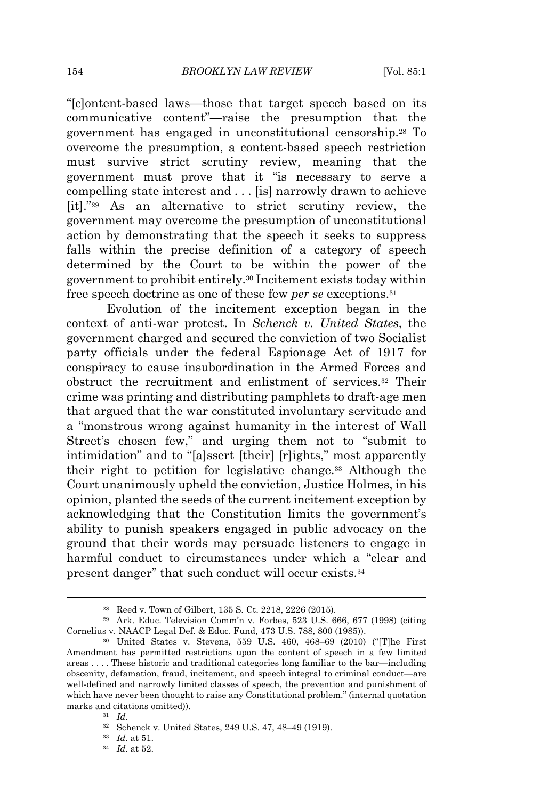"[c]ontent-based laws—those that target speech based on its communicative content"—raise the presumption that the government has engaged in unconstitutional censorship. <sup>28</sup> To overcome the presumption, a content-based speech restriction must survive strict scrutiny review, meaning that the government must prove that it "is necessary to serve a compelling state interest and . . . [is] narrowly drawn to achieve [it]." <sup>29</sup> As an alternative to strict scrutiny review, the government may overcome the presumption of unconstitutional action by demonstrating that the speech it seeks to suppress falls within the precise definition of a category of speech determined by the Court to be within the power of the government to prohibit entirely.<sup>30</sup> Incitement exists today within free speech doctrine as one of these few *per se* exceptions.<sup>31</sup>

Evolution of the incitement exception began in the context of anti-war protest. In *Schenck v. United States*, the government charged and secured the conviction of two Socialist party officials under the federal Espionage Act of 1917 for conspiracy to cause insubordination in the Armed Forces and obstruct the recruitment and enlistment of services. <sup>32</sup> Their crime was printing and distributing pamphlets to draft-age men that argued that the war constituted involuntary servitude and a "monstrous wrong against humanity in the interest of Wall Street's chosen few," and urging them not to "submit to intimidation" and to "[a]ssert [their] [r]ights," most apparently their right to petition for legislative change.<sup>33</sup> Although the Court unanimously upheld the conviction, Justice Holmes, in his opinion, planted the seeds of the current incitement exception by acknowledging that the Constitution limits the government's ability to punish speakers engaged in public advocacy on the ground that their words may persuade listeners to engage in harmful conduct to circumstances under which a "clear and present danger" that such conduct will occur exists.<sup>34</sup>

<sup>28</sup> Reed v. Town of Gilbert, 135 S. Ct. 2218, 2226 (2015).

<sup>29</sup> Ark. Educ. Television Comm'n v. Forbes, 523 U.S. 666, 677 (1998) (citing Cornelius v. NAACP Legal Def. & Educ. Fund, 473 U.S. 788, 800 (1985)).

<sup>30</sup> United States v. Stevens, 559 U.S. 460, 468–69 (2010) ("[T]he First Amendment has permitted restrictions upon the content of speech in a few limited areas . . . . These historic and traditional categories long familiar to the bar—including obscenity, defamation, fraud, incitement, and speech integral to criminal conduct—are well-defined and narrowly limited classes of speech, the prevention and punishment of which have never been thought to raise any Constitutional problem." (internal quotation marks and citations omitted)).

<sup>31</sup> *Id.*

<sup>32</sup> Schenck v. United States, 249 U.S. 47, 48–49 (1919).

<sup>33</sup> *Id.* at 51.

<sup>34</sup> *Id.* at 52.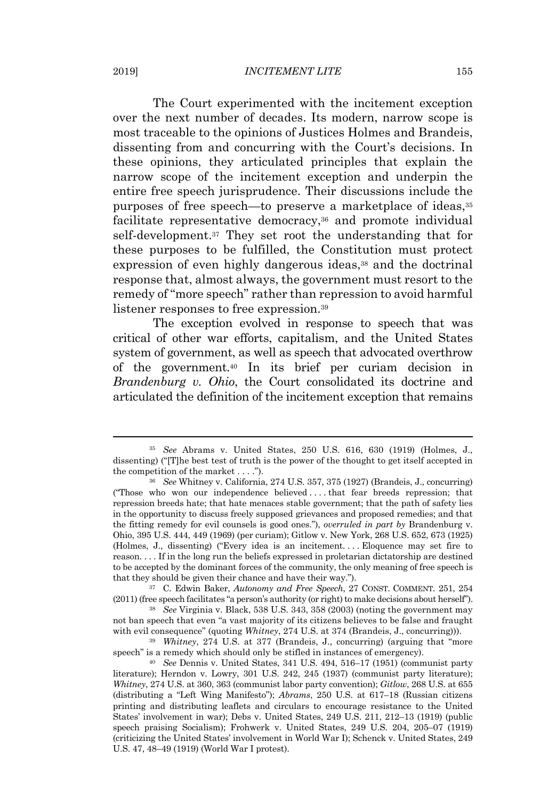#### 2019] *INCITEMENT LITE* 155

The Court experimented with the incitement exception over the next number of decades. Its modern, narrow scope is most traceable to the opinions of Justices Holmes and Brandeis, dissenting from and concurring with the Court's decisions. In these opinions, they articulated principles that explain the narrow scope of the incitement exception and underpin the entire free speech jurisprudence. Their discussions include the purposes of free speech—to preserve a marketplace of ideas,<sup>35</sup> facilitate representative democracy,<sup>36</sup> and promote individual self-development.<sup>37</sup> They set root the understanding that for these purposes to be fulfilled, the Constitution must protect expression of even highly dangerous ideas,<sup>38</sup> and the doctrinal response that, almost always, the government must resort to the remedy of "more speech" rather than repression to avoid harmful listener responses to free expression.<sup>39</sup>

The exception evolved in response to speech that was critical of other war efforts, capitalism, and the United States system of government, as well as speech that advocated overthrow of the government.<sup>40</sup> In its brief per curiam decision in *Brandenburg v. Ohio*, the Court consolidated its doctrine and articulated the definition of the incitement exception that remains

<sup>37</sup> C. Edwin Baker, *Autonomy and Free Speech*, 27 CONST. COMMENT. 251, 254 (2011) (free speech facilitates "a person's authority (or right) to make decisions about herself").

<sup>38</sup> *See* Virginia v. Black, 538 U.S. 343, 358 (2003) (noting the government may not ban speech that even "a vast majority of its citizens believes to be false and fraught with evil consequence" (quoting *Whitney*, 274 U.S. at 374 (Brandeis, J., concurring))).

<sup>39</sup> *Whitney*, 274 U.S. at 377 (Brandeis, J., concurring) (arguing that "more speech" is a remedy which should only be stifled in instances of emergency).

<sup>35</sup> *See* Abrams v. United States, 250 U.S. 616, 630 (1919) (Holmes, J., dissenting) ("[T]he best test of truth is the power of the thought to get itself accepted in the competition of the market  $\dots$ .").

<sup>36</sup> *See* Whitney v. California, 274 U.S. 357, 375 (1927) (Brandeis, J., concurring) ("Those who won our independence believed . . . . that fear breeds repression; that repression breeds hate; that hate menaces stable government; that the path of safety lies in the opportunity to discuss freely supposed grievances and proposed remedies; and that the fitting remedy for evil counsels is good ones."), *overruled in part by* Brandenburg v. Ohio, 395 U.S. 444, 449 (1969) (per curiam); Gitlow v. New York, 268 U.S. 652, 673 (1925) (Holmes, J., dissenting) ("Every idea is an incitement. . . . Eloquence may set fire to reason. . . . If in the long run the beliefs expressed in proletarian dictatorship are destined to be accepted by the dominant forces of the community, the only meaning of free speech is that they should be given their chance and have their way.").

<sup>40</sup> *See* Dennis v. United States, 341 U.S. 494, 516–17 (1951) (communist party literature); Herndon v. Lowry, 301 U.S. 242, 245 (1937) (communist party literature); *Whitney*, 274 U.S. at 360, 363 (communist labor party convention); *Gitlow*, 268 U.S. at 655 (distributing a "Left Wing Manifesto"); *Abrams*, 250 U.S. at 617–18 (Russian citizens printing and distributing leaflets and circulars to encourage resistance to the United States' involvement in war); Debs v. United States, 249 U.S. 211, 212–13 (1919) (public speech praising Socialism); Frohwerk v. United States, 249 U.S. 204, 205–07 (1919) (criticizing the United States' involvement in World War I); Schenck v. United States, 249 U.S. 47, 48–49 (1919) (World War I protest).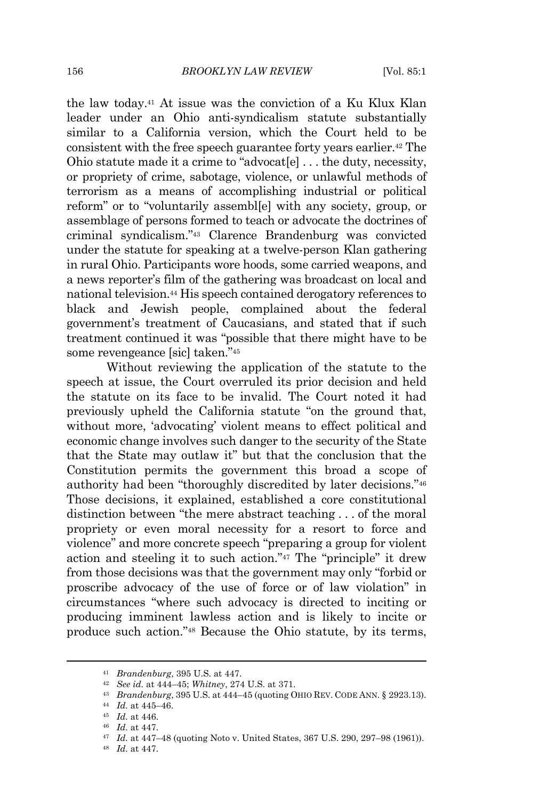the law today.<sup>41</sup> At issue was the conviction of a Ku Klux Klan leader under an Ohio anti-syndicalism statute substantially similar to a California version, which the Court held to be consistent with the free speech guarantee forty years earlier.<sup>42</sup> The Ohio statute made it a crime to "advocat[e] . . . the duty, necessity, or propriety of crime, sabotage, violence, or unlawful methods of terrorism as a means of accomplishing industrial or political reform" or to "voluntarily assembl[e] with any society, group, or assemblage of persons formed to teach or advocate the doctrines of criminal syndicalism."<sup>43</sup> Clarence Brandenburg was convicted under the statute for speaking at a twelve-person Klan gathering in rural Ohio. Participants wore hoods, some carried weapons, and a news reporter's film of the gathering was broadcast on local and national television.<sup>44</sup> His speech contained derogatory references to black and Jewish people, complained about the federal government's treatment of Caucasians, and stated that if such treatment continued it was "possible that there might have to be some revengeance [sic] taken."<sup>45</sup>

Without reviewing the application of the statute to the speech at issue, the Court overruled its prior decision and held the statute on its face to be invalid. The Court noted it had previously upheld the California statute "on the ground that, without more, 'advocating' violent means to effect political and economic change involves such danger to the security of the State that the State may outlaw it" but that the conclusion that the Constitution permits the government this broad a scope of authority had been "thoroughly discredited by later decisions."<sup>46</sup> Those decisions, it explained, established a core constitutional distinction between "the mere abstract teaching . . . of the moral propriety or even moral necessity for a resort to force and violence" and more concrete speech "preparing a group for violent action and steeling it to such action."<sup>47</sup> The "principle" it drew from those decisions was that the government may only "forbid or proscribe advocacy of the use of force or of law violation" in circumstances "where such advocacy is directed to inciting or producing imminent lawless action and is likely to incite or produce such action." <sup>48</sup> Because the Ohio statute, by its terms,

<sup>41</sup> *Brandenburg*, 395 U.S. at 447.

<sup>42</sup> *See id.* at 444–45; *Whitney*, 274 U.S. at 371.

<sup>43</sup> *Brandenburg*, 395 U.S. at 444–45 (quoting OHIO REV. CODE ANN. § 2923.13).

<sup>44</sup> *Id.* at 445–46.

<sup>45</sup> *Id.* at 446.

<sup>46</sup> *Id.* at 447.

<sup>47</sup> *Id.* at 447–48 (quoting Noto v. United States, 367 U.S. 290, 297–98 (1961)).

<sup>48</sup> *Id.* at 447.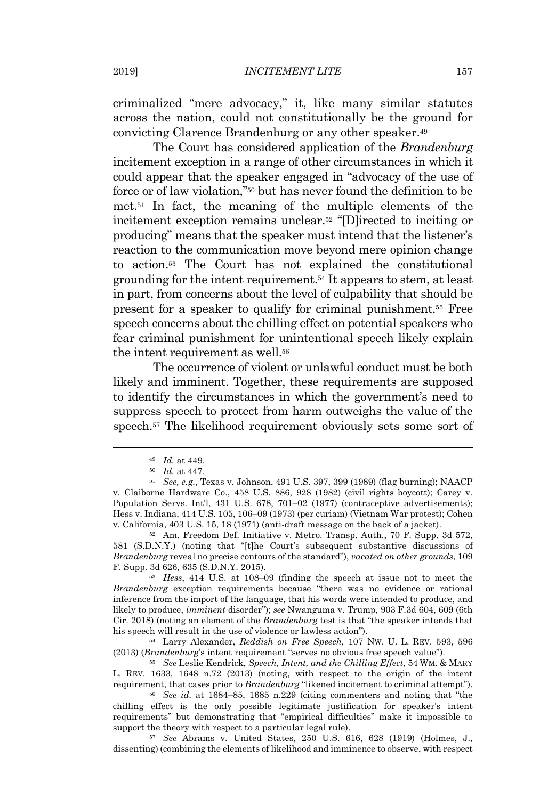criminalized "mere advocacy," it, like many similar statutes across the nation, could not constitutionally be the ground for convicting Clarence Brandenburg or any other speaker. 49

The Court has considered application of the *Brandenburg* incitement exception in a range of other circumstances in which it could appear that the speaker engaged in "advocacy of the use of force or of law violation,"<sup>50</sup> but has never found the definition to be met.<sup>51</sup> In fact, the meaning of the multiple elements of the incitement exception remains unclear.<sup>52</sup> "[D]irected to inciting or producing" means that the speaker must intend that the listener's reaction to the communication move beyond mere opinion change to action.<sup>53</sup> The Court has not explained the constitutional grounding for the intent requirement.<sup>54</sup> It appears to stem, at least in part, from concerns about the level of culpability that should be present for a speaker to qualify for criminal punishment.<sup>55</sup> Free speech concerns about the chilling effect on potential speakers who fear criminal punishment for unintentional speech likely explain the intent requirement as well.<sup>56</sup>

The occurrence of violent or unlawful conduct must be both likely and imminent. Together, these requirements are supposed to identify the circumstances in which the government's need to suppress speech to protect from harm outweighs the value of the speech. <sup>57</sup> The likelihood requirement obviously sets some sort of

<sup>52</sup> Am. Freedom Def. Initiative v. Metro. Transp. Auth., 70 F. Supp. 3d 572, 581 (S.D.N.Y.) (noting that "[t]he Court's subsequent substantive discussions of *Brandenburg* reveal no precise contours of the standard"), *vacated on other grounds*, 109 F. Supp. 3d 626, 635 (S.D.N.Y. 2015).

<sup>53</sup> *Hess*, 414 U.S. at 108–09 (finding the speech at issue not to meet the *Brandenburg* exception requirements because "there was no evidence or rational inference from the import of the language, that his words were intended to produce, and likely to produce, *imminent* disorder"); *see* Nwanguma v. Trump, 903 F.3d 604, 609 (6th Cir. 2018) (noting an element of the *Brandenburg* test is that "the speaker intends that his speech will result in the use of violence or lawless action").

<sup>54</sup> Larry Alexander, *Reddish on Free Speech*, 107 NW. U. L. REV. 593, 596 (2013) (*Brandenburg*'s intent requirement "serves no obvious free speech value").

<sup>55</sup> *See* Leslie Kendrick, *Speech, Intent, and the Chilling Effect*, 54 WM. & MARY L. REV. 1633, 1648 n.72 (2013) (noting, with respect to the origin of the intent requirement, that cases prior to *Brandenburg* "likened incitement to criminal attempt").

<sup>56</sup> *See id.* at 1684–85, 1685 n.229 (citing commenters and noting that "the chilling effect is the only possible legitimate justification for speaker's intent requirements" but demonstrating that "empirical difficulties" make it impossible to support the theory with respect to a particular legal rule).

<sup>57</sup> *See* Abrams v. United States, 250 U.S. 616, 628 (1919) (Holmes, J., dissenting) (combining the elements of likelihood and imminence to observe, with respect

<sup>49</sup> *Id.* at 449.

<sup>50</sup> *Id.* at 447.

<sup>51</sup> *See, e.g.*, Texas v. Johnson, 491 U.S. 397, 399 (1989) (flag burning); NAACP v. Claiborne Hardware Co., 458 U.S. 886, 928 (1982) (civil rights boycott); Carey v. Population Servs. Int'l, 431 U.S. 678, 701–02 (1977) (contraceptive advertisements); Hess v. Indiana, 414 U.S. 105, 106–09 (1973) (per curiam) (Vietnam War protest); Cohen v. California, 403 U.S. 15, 18 (1971) (anti-draft message on the back of a jacket).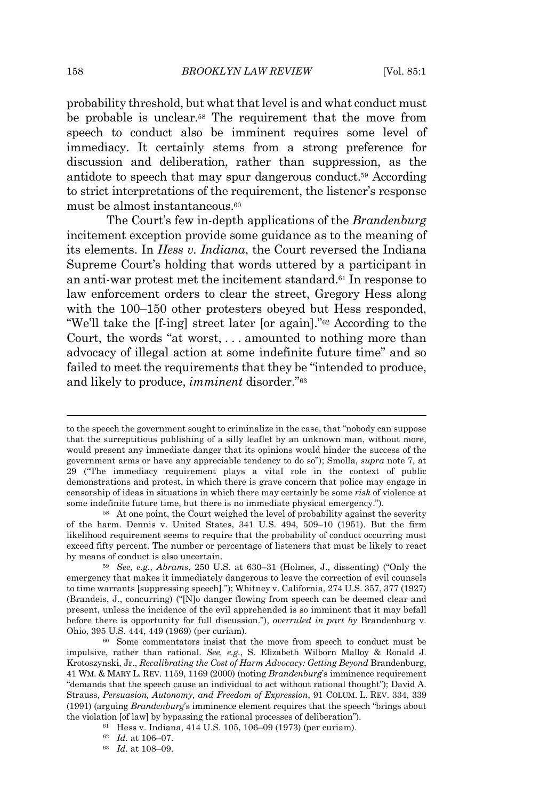probability threshold, but what that level is and what conduct must be probable is unclear. <sup>58</sup> The requirement that the move from speech to conduct also be imminent requires some level of immediacy. It certainly stems from a strong preference for discussion and deliberation, rather than suppression, as the antidote to speech that may spur dangerous conduct.<sup>59</sup> According to strict interpretations of the requirement, the listener's response must be almost instantaneous.<sup>60</sup>

The Court's few in-depth applications of the *Brandenburg* incitement exception provide some guidance as to the meaning of its elements. In *Hess v. Indiana*, the Court reversed the Indiana Supreme Court's holding that words uttered by a participant in an anti-war protest met the incitement standard. <sup>61</sup> In response to law enforcement orders to clear the street, Gregory Hess along with the  $100-150$  other protesters obeyed but Hess responded, "We'll take the [f-ing] street later [or again]." <sup>62</sup> According to the Court, the words "at worst, . . . amounted to nothing more than advocacy of illegal action at some indefinite future time" and so failed to meet the requirements that they be "intended to produce, and likely to produce, *imminent* disorder."<sup>63</sup>

to the speech the government sought to criminalize in the case, that "nobody can suppose that the surreptitious publishing of a silly leaflet by an unknown man, without more, would present any immediate danger that its opinions would hinder the success of the government arms or have any appreciable tendency to do so"); Smolla, *supra* note 7, at 29 ("The immediacy requirement plays a vital role in the context of public demonstrations and protest, in which there is grave concern that police may engage in censorship of ideas in situations in which there may certainly be some *risk* of violence at some indefinite future time, but there is no immediate physical emergency.").

<sup>58</sup> At one point, the Court weighed the level of probability against the severity of the harm. Dennis v. United States, 341 U.S. 494, 509–10 (1951). But the firm likelihood requirement seems to require that the probability of conduct occurring must exceed fifty percent. The number or percentage of listeners that must be likely to react by means of conduct is also uncertain.

<sup>59</sup> *See, e.g.*, *Abrams*, 250 U.S. at 630–31 (Holmes, J., dissenting) ("Only the emergency that makes it immediately dangerous to leave the correction of evil counsels to time warrants [suppressing speech]."); Whitney v. California, 274 U.S. 357, 377 (1927) (Brandeis, J., concurring) ("[N]o danger flowing from speech can be deemed clear and present, unless the incidence of the evil apprehended is so imminent that it may befall before there is opportunity for full discussion."), *overruled in part by* Brandenburg v. Ohio, 395 U.S. 444, 449 (1969) (per curiam).

<sup>60</sup> Some commentators insist that the move from speech to conduct must be impulsive, rather than rational. *See, e.g.*, S. Elizabeth Wilborn Malloy & Ronald J. Krotoszynski, Jr., *Recalibrating the Cost of Harm Advocacy: Getting Beyond* Brandenburg, 41 WM. & MARY L. REV. 1159, 1169 (2000) (noting *Brandenburg*'s imminence requirement "demands that the speech cause an individual to act without rational thought"); David A. Strauss, *Persuasion, Autonomy, and Freedom of Expression*, 91 COLUM. L. REV. 334, 339 (1991) (arguing *Brandenburg*'s imminence element requires that the speech "brings about the violation [of law] by bypassing the rational processes of deliberation").

<sup>61</sup> Hess v. Indiana, 414 U.S. 105, 106–09 (1973) (per curiam).

<sup>62</sup> *Id.* at 106–07.

<sup>63</sup> *Id.* at 108–09.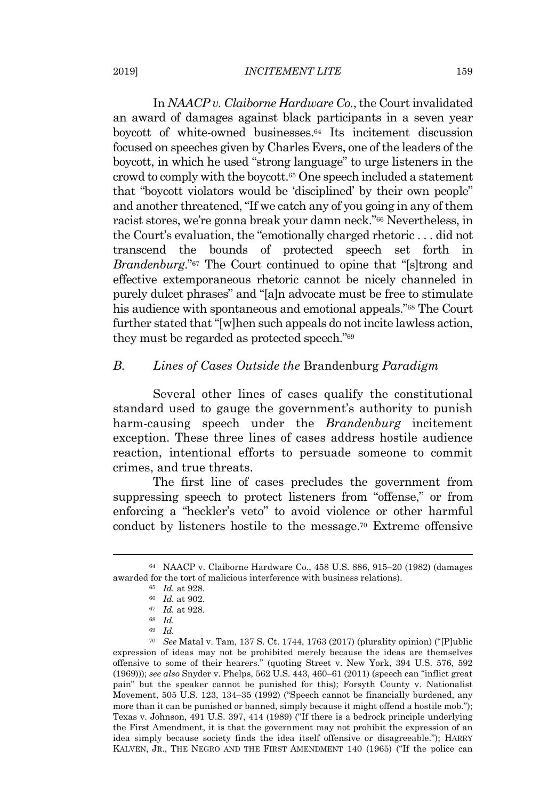#### 2019] *INCITEMENT LITE* 159

In *NAACP v. Claiborne Hardware Co.*,the Courtinvalidated an award of damages against black participants in a seven year boycott of white-owned businesses.<sup>64</sup> Its incitement discussion focused on speeches given by Charles Evers, one of the leaders of the boycott, in which he used "strong language" to urge listeners in the crowd to comply with the boycott.<sup>65</sup> One speech included a statement that "boycott violators would be 'disciplined' by their own people" and another threatened, "If we catch any of you going in any of them racist stores, we're gonna break your damn neck."<sup>66</sup> Nevertheless, in the Court's evaluation, the "emotionally charged rhetoric . . . did not transcend the bounds of protected speech set forth in *Brandenburg*."<sup>67</sup> The Court continued to opine that "[s]trong and effective extemporaneous rhetoric cannot be nicely channeled in purely dulcet phrases" and "[a]n advocate must be free to stimulate his audience with spontaneous and emotional appeals."<sup>68</sup> The Court further stated that "[w]hen such appeals do not incite lawless action, they must be regarded as protected speech."<sup>69</sup>

# *B. Lines of Cases Outside the* Brandenburg *Paradigm*

Several other lines of cases qualify the constitutional standard used to gauge the government's authority to punish harm-causing speech under the *Brandenburg* incitement exception. These three lines of cases address hostile audience reaction, intentional efforts to persuade someone to commit crimes, and true threats.

The first line of cases precludes the government from suppressing speech to protect listeners from "offense," or from enforcing a "heckler's veto" to avoid violence or other harmful conduct by listeners hostile to the message. <sup>70</sup> Extreme offensive

<sup>64</sup> NAACP v. Claiborne Hardware Co., 458 U.S. 886, 915–20 (1982) (damages awarded for the tort of malicious interference with business relations).

<sup>65</sup> *Id.* at 928.

<sup>66</sup> *Id.* at 902.

<sup>67</sup> *Id.* at 928.

<sup>68</sup> *Id.*

<sup>69</sup> *Id.*

<sup>70</sup> *See* Matal v. Tam, 137 S. Ct. 1744, 1763 (2017) (plurality opinion) ("[P]ublic expression of ideas may not be prohibited merely because the ideas are themselves offensive to some of their hearers." (quoting Street v. New York, 394 U.S. 576, 592 (1969))); *see also* Snyder v. Phelps, 562 U.S. 443, 460–61 (2011) (speech can "inflict great pain" but the speaker cannot be punished for this); Forsyth County v. Nationalist Movement, 505 U.S. 123, 134–35 (1992) ("Speech cannot be financially burdened, any more than it can be punished or banned, simply because it might offend a hostile mob."); Texas v. Johnson, 491 U.S. 397, 414 (1989) ("If there is a bedrock principle underlying the First Amendment, it is that the government may not prohibit the expression of an idea simply because society finds the idea itself offensive or disagreeable."); HARRY KALVEN, JR., THE NEGRO AND THE FIRST AMENDMENT 140 (1965) ("If the police can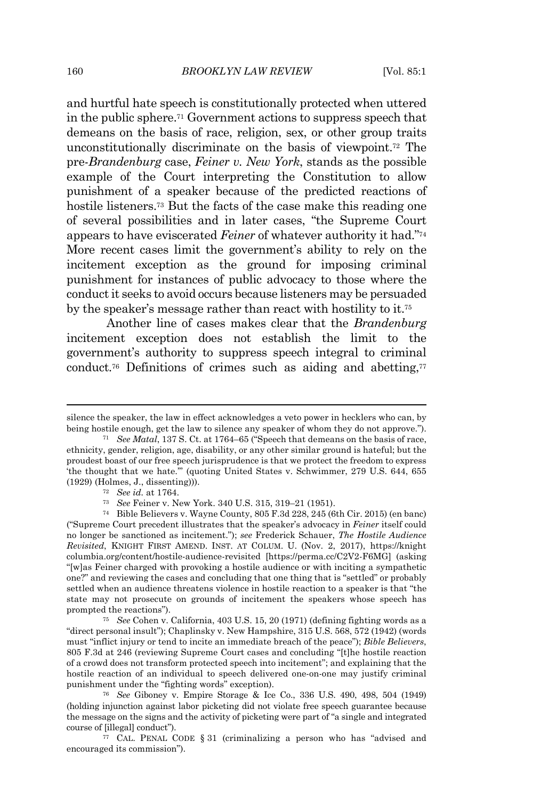and hurtful hate speech is constitutionally protected when uttered in the public sphere.<sup>71</sup> Government actions to suppress speech that demeans on the basis of race, religion, sex, or other group traits unconstitutionally discriminate on the basis of viewpoint. <sup>72</sup> The pre-*Brandenburg* case, *Feiner v. New York*, stands as the possible example of the Court interpreting the Constitution to allow punishment of a speaker because of the predicted reactions of hostile listeners.<sup>73</sup> But the facts of the case make this reading one of several possibilities and in later cases, "the Supreme Court appears to have eviscerated *Feiner* of whatever authority it had."<sup>74</sup> More recent cases limit the government's ability to rely on the incitement exception as the ground for imposing criminal punishment for instances of public advocacy to those where the conductit seeks to avoid occurs because listeners may be persuaded by the speaker's message rather than react with hostility to it.<sup>75</sup>

Another line of cases makes clear that the *Brandenburg* incitement exception does not establish the limit to the government's authority to suppress speech integral to criminal conduct.<sup>76</sup> Definitions of crimes such as aiding and abetting,<sup>77</sup>

<sup>76</sup> *See* Giboney v. Empire Storage & Ice Co., 336 U.S. 490, 498, 504 (1949) (holding injunction against labor picketing did not violate free speech guarantee because the message on the signs and the activity of picketing were part of "a single and integrated course of [illegal] conduct").

<sup>77</sup> CAL. PENAL CODE § 31 (criminalizing a person who has "advised and encouraged its commission").

silence the speaker, the law in effect acknowledges a veto power in hecklers who can, by being hostile enough, get the law to silence any speaker of whom they do not approve.").

<sup>71</sup> *See Matal*, 137 S. Ct. at 1764–65 ("Speech that demeans on the basis of race, ethnicity, gender, religion, age, disability, or any other similar ground is hateful; but the proudest boast of our free speech jurisprudence is that we protect the freedom to express 'the thought that we hate.'" (quoting United States v. Schwimmer, 279 U.S. 644, 655 (1929) (Holmes, J., dissenting))).

<sup>72</sup> *See id.* at 1764.

<sup>73</sup> *See* Feiner v. New York. 340 U.S. 315, 319–21 (1951).

<sup>74</sup> Bible Believers v. Wayne County, 805 F.3d 228, 245 (6th Cir. 2015) (en banc) ("Supreme Court precedent illustrates that the speaker's advocacy in *Feiner* itself could no longer be sanctioned as incitement."); *see* Frederick Schauer, *The Hostile Audience Revisited*, KNIGHT FIRST AMEND. INST. AT COLUM. U. (Nov. 2, 2017), https://knight columbia.org/content/hostile-audience-revisited [https://perma.cc/C2V2-F6MG] (asking "[w]as Feiner charged with provoking a hostile audience or with inciting a sympathetic one?" and reviewing the cases and concluding that one thing that is "settled" or probably settled when an audience threatens violence in hostile reaction to a speaker is that "the state may not prosecute on grounds of incitement the speakers whose speech has prompted the reactions").

<sup>75</sup> *See* Cohen v. California, 403 U.S. 15, 20 (1971) (defining fighting words as a "direct personal insult"); Chaplinsky v. New Hampshire, 315 U.S. 568, 572 (1942) (words must "inflict injury or tend to incite an immediate breach of the peace"); *Bible Believers*, 805 F.3d at 246 (reviewing Supreme Court cases and concluding "[t]he hostile reaction of a crowd does not transform protected speech into incitement"; and explaining that the hostile reaction of an individual to speech delivered one-on-one may justify criminal punishment under the "fighting words" exception).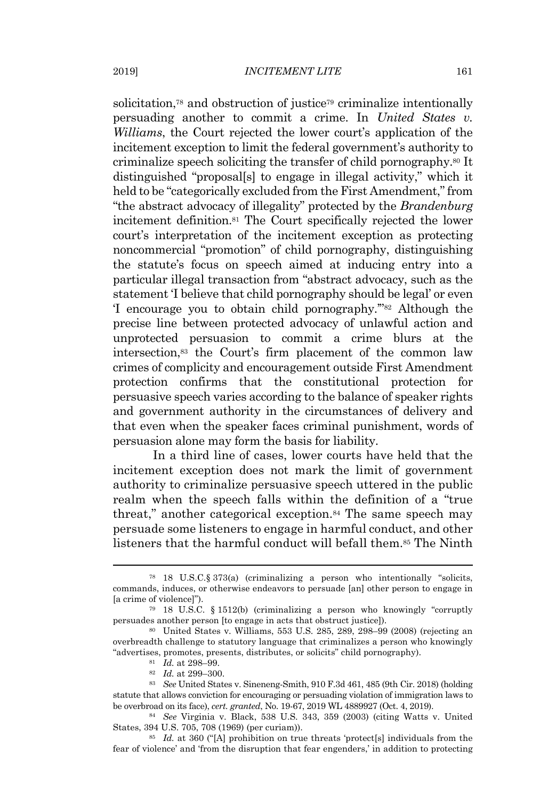solicitation,<sup>78</sup> and obstruction of justice<sup>79</sup> criminalize intentionally persuading another to commit a crime. In *United States v. Williams*, the Court rejected the lower court's application of the incitement exception to limit the federal government's authority to criminalize speech soliciting the transfer of child pornography.<sup>80</sup> It distinguished "proposal[s] to engage in illegal activity," which it held to be "categorically excluded from the First Amendment," from "the abstract advocacy of illegality" protected by the *Brandenburg* incitement definition.<sup>81</sup> The Court specifically rejected the lower court's interpretation of the incitement exception as protecting noncommercial "promotion" of child pornography, distinguishing the statute's focus on speech aimed at inducing entry into a particular illegal transaction from "abstract advocacy, such as the statement 'I believe that child pornography should be legal' or even 'I encourage you to obtain child pornography.'"<sup>82</sup> Although the precise line between protected advocacy of unlawful action and unprotected persuasion to commit a crime blurs at the intersection,<sup>83</sup> the Court's firm placement of the common law crimes of complicity and encouragement outside First Amendment protection confirms that the constitutional protection for persuasive speech varies according to the balance of speaker rights and government authority in the circumstances of delivery and that even when the speaker faces criminal punishment, words of persuasion alone may form the basis for liability.

In a third line of cases, lower courts have held that the incitement exception does not mark the limit of government authority to criminalize persuasive speech uttered in the public realm when the speech falls within the definition of a "true threat," another categorical exception.<sup>84</sup> The same speech may persuade some listeners to engage in harmful conduct, and other listeners that the harmful conduct will befall them.<sup>85</sup> The Ninth

<sup>78</sup> 18 U.S.C.§ 373(a) (criminalizing a person who intentionally "solicits, commands, induces, or otherwise endeavors to persuade [an] other person to engage in [a crime of violence]").

<sup>79</sup> 18 U.S.C. § 1512(b) (criminalizing a person who knowingly "corruptly persuades another person [to engage in acts that obstruct justice]).

<sup>80</sup> United States v. Williams, 553 U.S. 285, 289, 298–99 (2008) (rejecting an overbreadth challenge to statutory language that criminalizes a person who knowingly "advertises, promotes, presents, distributes, or solicits" child pornography).

<sup>81</sup> *Id.* at 298–99.

<sup>82</sup> *Id.* at 299–300.

<sup>83</sup> *See* United States v. Sineneng-Smith, 910 F.3d 461, 485 (9th Cir. 2018) (holding statute that allows conviction for encouraging or persuading violation of immigration laws to be overbroad on its face), *cert. granted*, No. 19-67, 2019 WL 4889927 (Oct. 4, 2019).

<sup>84</sup> *See* Virginia v. Black, 538 U.S. 343, 359 (2003) (citing Watts v. United States, 394 U.S. 705, 708 (1969) (per curiam)).

<sup>85</sup> *Id.* at 360 ("[A] prohibition on true threats 'protect[s] individuals from the fear of violence' and 'from the disruption that fear engenders,' in addition to protecting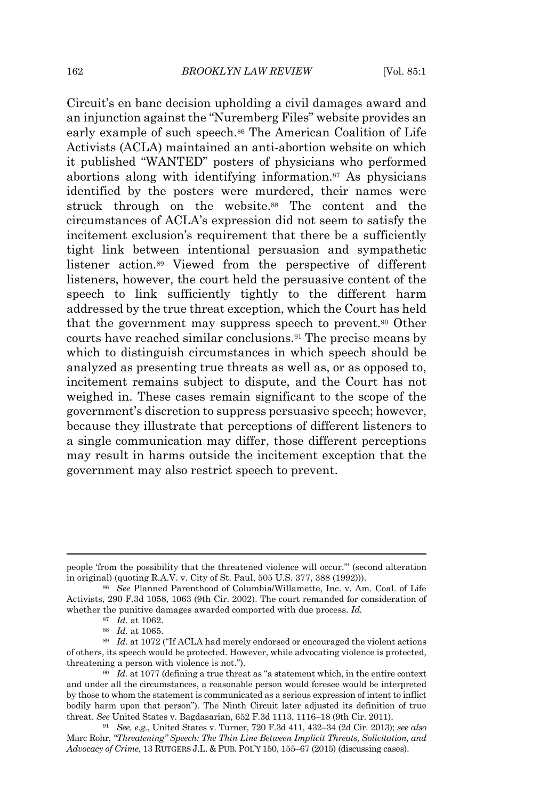Circuit's en banc decision upholding a civil damages award and an injunction against the "Nuremberg Files" website provides an early example of such speech.<sup>86</sup> The American Coalition of Life Activists (ACLA) maintained an anti-abortion website on which it published "WANTED" posters of physicians who performed abortions along with identifying information.<sup>87</sup> As physicians identified by the posters were murdered, their names were struck through on the website.<sup>88</sup> The content and the circumstances of ACLA's expression did not seem to satisfy the incitement exclusion's requirement that there be a sufficiently tight link between intentional persuasion and sympathetic listener action.<sup>89</sup> Viewed from the perspective of different listeners, however, the court held the persuasive content of the speech to link sufficiently tightly to the different harm addressed by the true threat exception, which the Court has held that the government may suppress speech to prevent.<sup>90</sup> Other courts have reached similar conclusions.<sup>91</sup> The precise means by which to distinguish circumstances in which speech should be analyzed as presenting true threats as well as, or as opposed to, incitement remains subject to dispute, and the Court has not weighed in. These cases remain significant to the scope of the government's discretion to suppress persuasive speech; however, because they illustrate that perceptions of different listeners to a single communication may differ, those different perceptions may result in harms outside the incitement exception that the government may also restrict speech to prevent.

people 'from the possibility that the threatened violence will occur.'" (second alteration in original) (quoting R.A.V. v. City of St. Paul, 505 U.S. 377, 388 (1992))).

<sup>86</sup> *See* Planned Parenthood of Columbia/Willamette, Inc. v. Am. Coal. of Life Activists, 290 F.3d 1058, 1063 (9th Cir. 2002). The court remanded for consideration of whether the punitive damages awarded comported with due process. *Id.*

<sup>87</sup> *Id.* at 1062.

<sup>88</sup> *Id.* at 1065.

<sup>89</sup> *Id.* at 1072 ("If ACLA had merely endorsed or encouraged the violent actions of others, its speech would be protected. However, while advocating violence is protected, threatening a person with violence is not.").

<sup>90</sup> *Id.* at 1077 (defining a true threat as "a statement which, in the entire context and under all the circumstances, a reasonable person would foresee would be interpreted by those to whom the statement is communicated as a serious expression of intent to inflict bodily harm upon that person"). The Ninth Circuit later adjusted its definition of true threat. *See* United States v. Bagdasarian, 652 F.3d 1113, 1116–18 (9th Cir. 2011).

<sup>91</sup> *See, e.g.*, United States v. Turner, 720 F.3d 411, 432–34 (2d Cir. 2013); *see also* Marc Rohr, *"Threatening" Speech: The Thin Line Between Implicit Threats, Solicitation, and Advocacy of Crime*, 13 RUTGERS J.L. & PUB. POL'Y 150, 155–67 (2015) (discussing cases).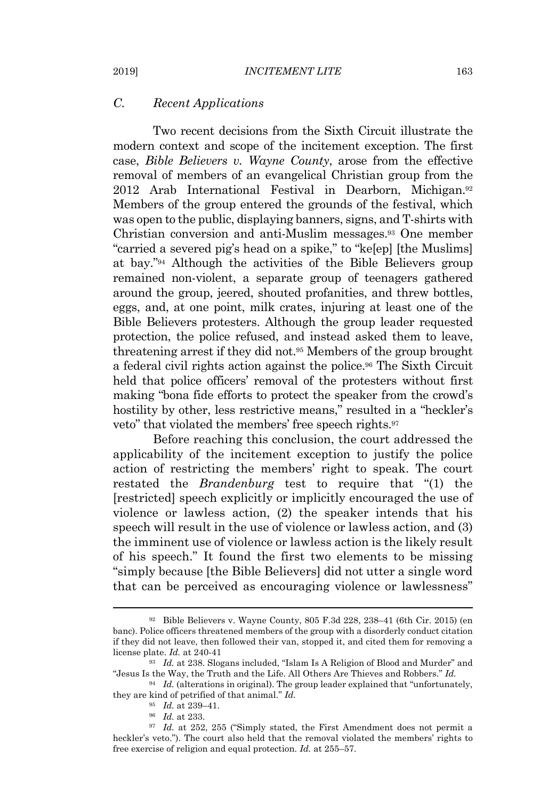## *C. Recent Applications*

Two recent decisions from the Sixth Circuit illustrate the modern context and scope of the incitement exception. The first case, *Bible Believers v. Wayne County*, arose from the effective removal of members of an evangelical Christian group from the 2012 Arab International Festival in Dearborn, Michigan. 92 Members of the group entered the grounds of the festival, which was open to the public, displaying banners, signs, and T-shirts with Christian conversion and anti-Muslim messages.<sup>93</sup> One member "carried a severed pig's head on a spike," to "ke[ep] [the Muslims] at bay." <sup>94</sup> Although the activities of the Bible Believers group remained non-violent, a separate group of teenagers gathered around the group, jeered, shouted profanities, and threw bottles, eggs, and, at one point, milk crates, injuring at least one of the Bible Believers protesters. Although the group leader requested protection, the police refused, and instead asked them to leave, threatening arrest if they did not.<sup>95</sup> Members of the group brought a federal civil rights action against the police.<sup>96</sup> The Sixth Circuit held that police officers' removal of the protesters without first making "bona fide efforts to protect the speaker from the crowd's hostility by other, less restrictive means," resulted in a "heckler's veto" that violated the members' free speech rights.<sup>97</sup>

Before reaching this conclusion, the court addressed the applicability of the incitement exception to justify the police action of restricting the members' right to speak. The court restated the *Brandenburg* test to require that "(1) the [restricted] speech explicitly or implicitly encouraged the use of violence or lawless action, (2) the speaker intends that his speech will result in the use of violence or lawless action, and (3) the imminent use of violence or lawless action is the likely result of his speech." It found the first two elements to be missing "simply because [the Bible Believers] did not utter a single word that can be perceived as encouraging violence or lawlessness"

<sup>92</sup> Bible Believers v. Wayne County, 805 F.3d 228, 238–41 (6th Cir. 2015) (en banc). Police officers threatened members of the group with a disorderly conduct citation if they did not leave, then followed their van, stopped it, and cited them for removing a license plate. *Id.* at 240-41

<sup>93</sup> *Id.* at 238. Slogans included, "Islam Is A Religion of Blood and Murder" and "Jesus Is the Way, the Truth and the Life. All Others Are Thieves and Robbers." *Id.*

<sup>94</sup> *Id.* (alterations in original). The group leader explained that "unfortunately, they are kind of petrified of that animal." *Id.*

<sup>95</sup> *Id.* at 239–41.

<sup>96</sup> *Id.* at 233.

<sup>97</sup> *Id.* at 252, 255 ("Simply stated, the First Amendment does not permit a heckler's veto."). The court also held that the removal violated the members' rights to free exercise of religion and equal protection. *Id.* at 255–57.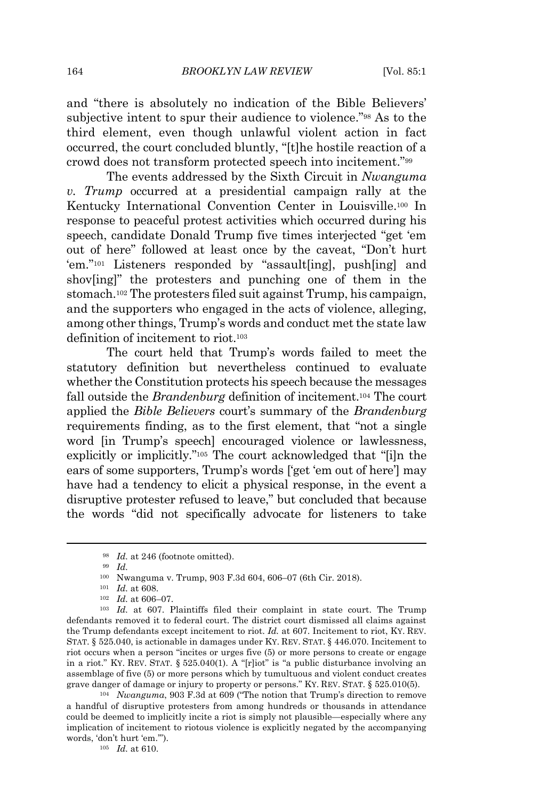and "there is absolutely no indication of the Bible Believers' subjective intent to spur their audience to violence."<sup>98</sup> As to the third element, even though unlawful violent action in fact occurred, the court concluded bluntly, "[t]he hostile reaction of a crowd does not transform protected speech into incitement." 99

The events addressed by the Sixth Circuit in *Nwanguma v. Trump* occurred at a presidential campaign rally at the Kentucky International Convention Center in Louisville. <sup>100</sup> In response to peaceful protest activities which occurred during his speech, candidate Donald Trump five times interjected "get 'em out of here" followed at least once by the caveat, "Don't hurt 'em." <sup>101</sup> Listeners responded by "assault[ing], push[ing] and shov[ing]" the protesters and punching one of them in the stomach. <sup>102</sup> The protesters filed suit against Trump, his campaign, and the supporters who engaged in the acts of violence, alleging, among other things, Trump's words and conduct met the state law definition of incitement to riot. 103

The court held that Trump's words failed to meet the statutory definition but nevertheless continued to evaluate whether the Constitution protects his speech because the messages fall outside the *Brandenburg* definition of incitement. <sup>104</sup> The court applied the *Bible Believers* court's summary of the *Brandenburg* requirements finding, as to the first element, that "not a single word [in Trump's speech] encouraged violence or lawlessness, explicitly or implicitly." <sup>105</sup> The court acknowledged that "[i]n the ears of some supporters, Trump's words ['get 'em out of here'] may have had a tendency to elicit a physical response, in the event a disruptive protester refused to leave," but concluded that because the words "did not specifically advocate for listeners to take

<sup>105</sup> *Id.* at 610.

<sup>98</sup> *Id.* at 246 (footnote omitted).

<sup>99</sup> *Id.*

<sup>100</sup> Nwanguma v. Trump, 903 F.3d 604, 606–07 (6th Cir. 2018).

<sup>101</sup> *Id.* at 608.

<sup>102</sup> *Id.* at 606–07.

<sup>103</sup> *Id.* at 607. Plaintiffs filed their complaint in state court. The Trump defendants removed it to federal court. The district court dismissed all claims against the Trump defendants except incitement to riot. *Id.* at 607. Incitement to riot, KY. REV. STAT. § 525.040, is actionable in damages under KY. REV. STAT. § 446.070. Incitement to riot occurs when a person "incites or urges five (5) or more persons to create or engage in a riot." KY. REV. STAT. § 525.040(1). A "[r]iot" is "a public disturbance involving an assemblage of five (5) or more persons which by tumultuous and violent conduct creates grave danger of damage or injury to property or persons." KY. REV. STAT. § 525.010(5).

<sup>104</sup> *Nwanguma*, 903 F.3d at 609 ("The notion that Trump's direction to remove a handful of disruptive protesters from among hundreds or thousands in attendance could be deemed to implicitly incite a riot is simply not plausible—especially where any implication of incitement to riotous violence is explicitly negated by the accompanying words, 'don't hurt 'em.'").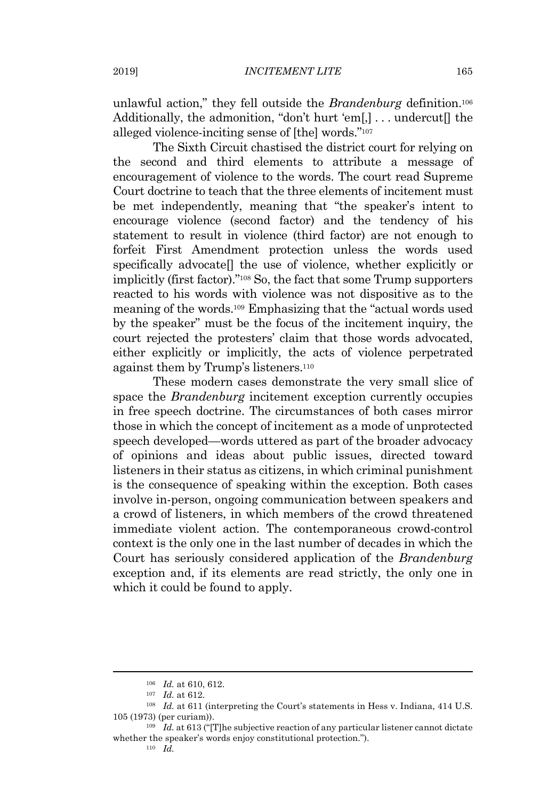unlawful action," they fell outside the *Brandenburg* definition. 106 Additionally, the admonition, "don't hurt 'em[,]... undercut[] the alleged violence-inciting sense of [the] words."<sup>107</sup>

The Sixth Circuit chastised the district court for relying on the second and third elements to attribute a message of encouragement of violence to the words. The court read Supreme Court doctrine to teach that the three elements of incitement must be met independently, meaning that "the speaker's intent to encourage violence (second factor) and the tendency of his statement to result in violence (third factor) are not enough to forfeit First Amendment protection unless the words used specifically advocate[] the use of violence, whether explicitly or implicitly (first factor)."<sup>108</sup> So, the fact that some Trump supporters reacted to his words with violence was not dispositive as to the meaning of the words.<sup>109</sup> Emphasizing that the "actual words used by the speaker" must be the focus of the incitement inquiry, the court rejected the protesters' claim that those words advocated, either explicitly or implicitly, the acts of violence perpetrated against them by Trump's listeners.<sup>110</sup>

These modern cases demonstrate the very small slice of space the *Brandenburg* incitement exception currently occupies in free speech doctrine. The circumstances of both cases mirror those in which the concept of incitement as a mode of unprotected speech developed—words uttered as part of the broader advocacy of opinions and ideas about public issues, directed toward listeners in their status as citizens, in which criminal punishment is the consequence of speaking within the exception. Both cases involve in-person, ongoing communication between speakers and a crowd of listeners, in which members of the crowd threatened immediate violent action. The contemporaneous crowd-control context is the only one in the last number of decades in which the Court has seriously considered application of the *Brandenburg* exception and, if its elements are read strictly, the only one in which it could be found to apply.

<sup>106</sup> *Id.* at 610, 612.

<sup>107</sup> *Id.* at 612.

<sup>108</sup> *Id.* at 611 (interpreting the Court's statements in Hess v. Indiana, 414 U.S. 105 (1973) (per curiam)).

<sup>109</sup> *Id.* at 613 ("[T]he subjective reaction of any particular listener cannot dictate whether the speaker's words enjoy constitutional protection.").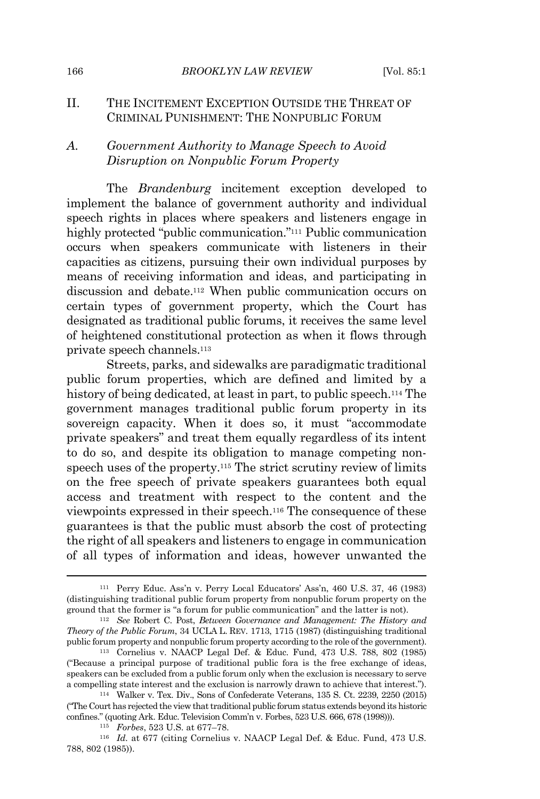## II. THE INCITEMENT EXCEPTION OUTSIDE THE THREAT OF CRIMINAL PUNISHMENT: THE NONPUBLIC FORUM

# *A. Government Authority to Manage Speech to Avoid Disruption on Nonpublic Forum Property*

The *Brandenburg* incitement exception developed to implement the balance of government authority and individual speech rights in places where speakers and listeners engage in highly protected "public communication."<sup>111</sup> Public communication occurs when speakers communicate with listeners in their capacities as citizens, pursuing their own individual purposes by means of receiving information and ideas, and participating in discussion and debate.<sup>112</sup> When public communication occurs on certain types of government property, which the Court has designated as traditional public forums, it receives the same level of heightened constitutional protection as when it flows through private speech channels.<sup>113</sup>

Streets, parks, and sidewalks are paradigmatic traditional public forum properties, which are defined and limited by a history of being dedicated, at least in part, to public speech.<sup>114</sup> The government manages traditional public forum property in its sovereign capacity. When it does so, it must "accommodate private speakers" and treat them equally regardless of its intent to do so, and despite its obligation to manage competing nonspeech uses of the property.<sup>115</sup> The strict scrutiny review of limits on the free speech of private speakers guarantees both equal access and treatment with respect to the content and the viewpoints expressed in their speech.<sup>116</sup> The consequence of these guarantees is that the public must absorb the cost of protecting the right of all speakers and listeners to engage in communication of all types of information and ideas, however unwanted the

<sup>111</sup> Perry Educ. Ass'n v. Perry Local Educators' Ass'n, 460 U.S. 37, 46 (1983) (distinguishing traditional public forum property from nonpublic forum property on the ground that the former is "a forum for public communication" and the latter is not).

<sup>112</sup> *See* Robert C. Post, *Between Governance and Management: The History and Theory of the Public Forum*, 34 UCLA L. REV. 1713, 1715 (1987) (distinguishing traditional public forum property and nonpublic forum property according to the role ofthe government).

<sup>113</sup> Cornelius v. NAACP Legal Def. & Educ. Fund, 473 U.S. 788, 802 (1985) ("Because a principal purpose of traditional public fora is the free exchange of ideas, speakers can be excluded from a public forum only when the exclusion is necessary to serve a compelling state interest and the exclusion is narrowly drawn to achieve that interest.").

<sup>114</sup> Walker v. Tex. Div., Sons of Confederate Veterans, 135 S. Ct. 2239, 2250 (2015) ("The Court has rejected the viewthattraditional public forum status extends beyond its historic confines." (quoting Ark. Educ. Television Comm'n v. Forbes, 523 U.S. 666, 678 (1998))).

<sup>115</sup> *Forbes*, 523 U.S. at 677–78.

<sup>116</sup> *Id.* at 677 (citing Cornelius v. NAACP Legal Def. & Educ. Fund, 473 U.S. 788, 802 (1985)).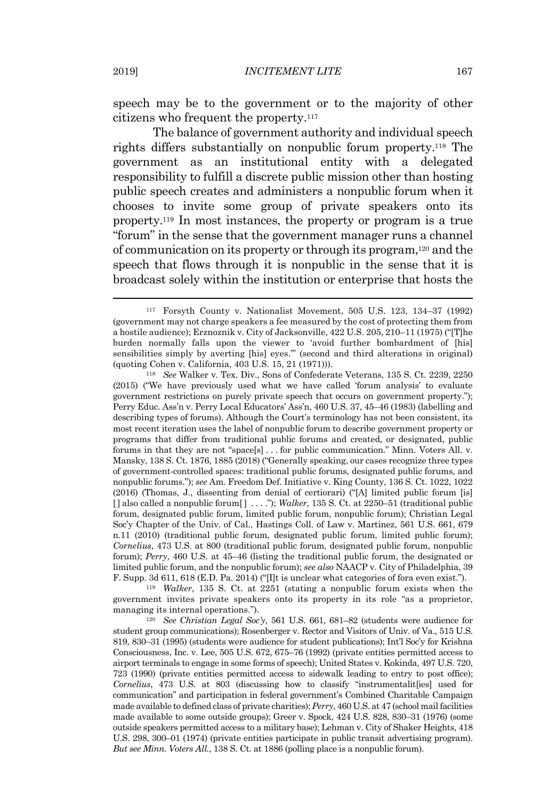speech may be to the government or to the majority of other citizens who frequent the property. 117

The balance of government authority and individual speech rights differs substantially on nonpublic forum property.<sup>118</sup> The government as an institutional entity with a delegated responsibility to fulfill a discrete public mission other than hosting public speech creates and administers a nonpublic forum when it chooses to invite some group of private speakers onto its property. <sup>119</sup> In most instances, the property or program is a true "forum" in the sense that the government manager runs a channel of communication on its property or through its program, <sup>120</sup> and the speech that flows through it is nonpublic in the sense that it is broadcast solely within the institution or enterprise that hosts the

<sup>118</sup> *See* Walker v. Tex. Div., Sons of Confederate Veterans, 135 S. Ct. 2239, 2250 (2015) ("We have previously used what we have called 'forum analysis' to evaluate government restrictions on purely private speech that occurs on government property."); Perry Educ. Ass'n v. Perry Local Educators' Ass'n, 460 U.S. 37, 45–46 (1983) (labelling and describing types of forums). Although the Court's terminology has not been consistent, its most recent iteration uses the label of nonpublic forum to describe government property or programs that differ from traditional public forums and created, or designated, public forums in that they are not "space[s] . . . for public communication." Minn. Voters All. v. Mansky, 138 S. Ct. 1876, 1885 (2018) ("Generally speaking, our cases recognize three types of government-controlled spaces: traditional public forums, designated public forums, and nonpublic forums."); *see* Am. Freedom Def. Initiative v. King County, 136 S. Ct. 1022, 1022 (2016) (Thomas, J., dissenting from denial of certiorari) ("[A] limited public forum [is] []also called a nonpublic forum[ ] . . . ."); *Walker*, 135 S. Ct. at 2250–51 (traditional public forum, designated public forum, limited public forum, nonpublic forum); Christian Legal Soc'y Chapter of the Univ. of Cal., Hastings Coll. of Law v. Martinez, 561 U.S. 661, 679 n.11 (2010) (traditional public forum, designated public forum, limited public forum); *Cornelius*, 473 U.S. at 800 (traditional public forum, designated public forum, nonpublic forum); *Perry*, 460 U.S. at 45–46 (listing the traditional public forum, the designated or limited public forum, and the nonpublic forum); *see also* NAACP v. City of Philadelphia, 39 F. Supp. 3d 611, 618 (E.D. Pa. 2014) ("[I]t is unclear what categories of fora even exist.").

<sup>119</sup> *Walker*, 135 S. Ct. at 2251 (stating a nonpublic forum exists when the government invites private speakers onto its property in its role "as a proprietor, managing its internal operations.").

<sup>120</sup> *See Christian Legal Soc'y*, 561 U.S. 661, 681–82 (students were audience for student group communications); Rosenberger v. Rector and Visitors of Univ. of Va., 515 U.S. 819, 830–31 (1995) (students were audience for student publications); Int'l Soc'y for Krishna Consciousness, Inc. v. Lee, 505 U.S. 672, 675–76 (1992) (private entities permitted access to airport terminals to engage in some forms of speech); United States v. Kokinda, 497 U.S. 720, 723 (1990) (private entities permitted access to sidewalk leading to entry to post office); *Cornelius*, 473 U.S. at 803 (discussing how to classify "instrumentalit[ies] used for communication" and participation in federal government's Combined Charitable Campaign made available to defined class of private charities);*Perry*, 460 U.S. at 47 (school mail facilities made available to some outside groups); Greer v. Spock, 424 U.S. 828, 830–31 (1976) (some outside speakers permitted access to a military base); Lehman v. City of Shaker Heights, 418 U.S. 298, 300–01 (1974) (private entities participate in public transit advertising program). *But see Minn. Voters All.*, 138 S. Ct. at 1886 (polling place is a nonpublic forum).

<sup>117</sup> Forsyth County v. Nationalist Movement, 505 U.S. 123, 134–37 (1992) (government may not charge speakers a fee measured by the cost of protecting them from a hostile audience); Erznoznik v. City of Jacksonville, 422 U.S. 205, 210–11 (1975) ("[T]he burden normally falls upon the viewer to 'avoid further bombardment of [his] sensibilities simply by averting [his] eyes.'" (second and third alterations in original) (quoting Cohen v. California, 403 U.S. 15, 21 (1971))).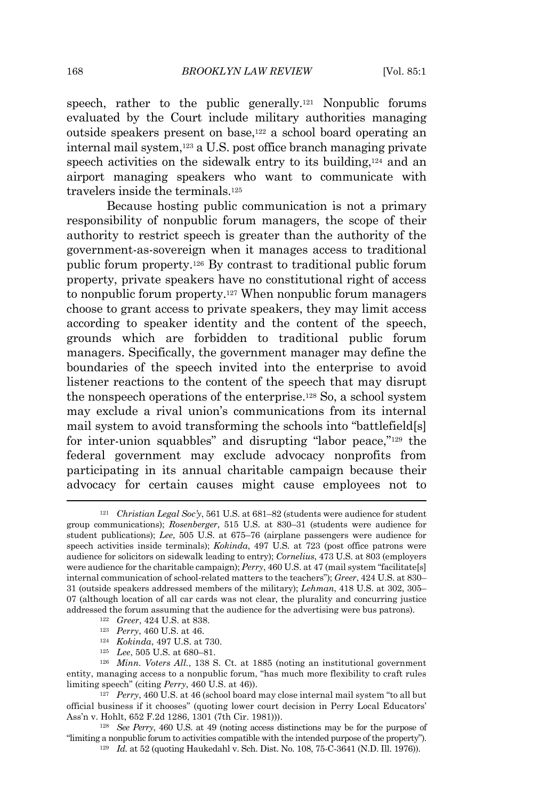speech, rather to the public generally.<sup>121</sup> Nonpublic forums evaluated by the Court include military authorities managing outside speakers present on base,<sup>122</sup> a school board operating an internal mail system, <sup>123</sup> a U.S. post office branch managing private speech activities on the sidewalk entry to its building,<sup>124</sup> and an airport managing speakers who want to communicate with travelers inside the terminals.<sup>125</sup>

Because hosting public communication is not a primary responsibility of nonpublic forum managers, the scope of their authority to restrict speech is greater than the authority of the government-as-sovereign when it manages access to traditional public forum property.<sup>126</sup> By contrast to traditional public forum property, private speakers have no constitutional right of access to nonpublic forum property. <sup>127</sup> When nonpublic forum managers choose to grant access to private speakers, they may limit access according to speaker identity and the content of the speech, grounds which are forbidden to traditional public forum managers. Specifically, the government manager may define the boundaries of the speech invited into the enterprise to avoid listener reactions to the content of the speech that may disrupt the nonspeech operations of the enterprise.<sup>128</sup> So, a school system may exclude a rival union's communications from its internal mail system to avoid transforming the schools into "battlefield[s] for inter-union squabbles" and disrupting "labor peace,"<sup>129</sup> the federal government may exclude advocacy nonprofits from participating in its annual charitable campaign because their advocacy for certain causes might cause employees not to

- <sup>123</sup> *Perry*, 460 U.S. at 46.
- <sup>124</sup> *Kokinda*, 497 U.S. at 730.
- <sup>125</sup> *Lee*, 505 U.S. at 680–81.

<sup>121</sup> *Christian Legal Soc'y*, 561 U.S. at 681–82 (students were audience for student group communications); *Rosenberger*, 515 U.S. at 830–31 (students were audience for student publications); *Lee*, 505 U.S. at 675–76 (airplane passengers were audience for speech activities inside terminals); *Kokinda*, 497 U.S. at 723 (post office patrons were audience for solicitors on sidewalk leading to entry); *Cornelius*, 473 U.S. at 803 (employers were audience for the charitable campaign); *Perry*, 460 U.S. at 47 (mail system "facilitate[s] internal communication of school-related matters to the teachers"); *Greer*, 424 U.S. at 830– 31 (outside speakers addressed members of the military); *Lehman*, 418 U.S. at 302, 305– 07 (although location of all car cards was not clear, the plurality and concurring justice addressed the forum assuming that the audience for the advertising were bus patrons).

<sup>122</sup> *Greer*, 424 U.S. at 838.

<sup>126</sup> *Minn. Voters All.*, 138 S. Ct. at 1885 (noting an institutional government entity, managing access to a nonpublic forum, "has much more flexibility to craft rules limiting speech" (citing *Perry*, 460 U.S. at 46)).

<sup>127</sup> *Perry*, 460 U.S. at 46 (school board may close internal mail system "to all but official business if it chooses" (quoting lower court decision in Perry Local Educators' Ass'n v. Hohlt, 652 F.2d 1286, 1301 (7th Cir. 1981))).

<sup>128</sup> *See Perry*, 460 U.S. at 49 (noting access distinctions may be for the purpose of "limiting a nonpublic forum to activities compatible with the intended purpose ofthe property").

<sup>129</sup> *Id.* at 52 (quoting Haukedahl v. Sch. Dist. No. 108, 75-C-3641 (N.D. Ill. 1976)).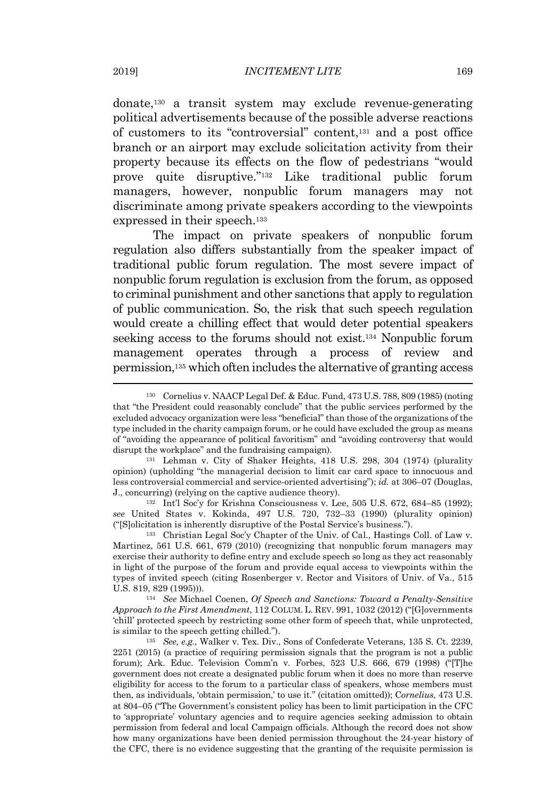donate,<sup>130</sup> a transit system may exclude revenue-generating political advertisements because of the possible adverse reactions of customers to its "controversial" content,<sup>131</sup> and a post office branch or an airport may exclude solicitation activity from their property because its effects on the flow of pedestrians "would prove quite disruptive." <sup>132</sup> Like traditional public forum managers, however, nonpublic forum managers may not discriminate among private speakers according to the viewpoints expressed in their speech.<sup>133</sup>

The impact on private speakers of nonpublic forum regulation also differs substantially from the speaker impact of traditional public forum regulation. The most severe impact of nonpublic forum regulation is exclusion from the forum, as opposed to criminal punishment and other sanctions that apply to regulation of public communication. So, the risk that such speech regulation would create a chilling effect that would deter potential speakers seeking access to the forums should not exist.<sup>134</sup> Nonpublic forum management operates through a process of review and permission,<sup>135</sup> which often includes the alternative of granting access

<sup>132</sup> Int'l Soc'y for Krishna Consciousness v. Lee, 505 U.S. 672, 684–85 (1992); *see* United States v. Kokinda, 497 U.S. 720, 732–33 (1990) (plurality opinion) ("[S]olicitation is inherently disruptive of the Postal Service's business.").

<sup>133</sup> Christian Legal Soc'y Chapter of the Univ. of Cal., Hastings Coll. of Law v. Martinez, 561 U.S. 661, 679 (2010) (recognizing that nonpublic forum managers may exercise their authority to define entry and exclude speech so long as they act reasonably in light of the purpose of the forum and provide equal access to viewpoints within the types of invited speech (citing Rosenberger v. Rector and Visitors of Univ. of Va., 515 U.S. 819, 829 (1995))).

<sup>134</sup> *See* Michael Coenen, *Of Speech and Sanctions: Toward a Penalty-Sensitive Approach to the First Amendment*, 112 COLUM. L. REV. 991, 1032 (2012) ("[G]overnments 'chill' protected speech by restricting some other form of speech that, while unprotected, is similar to the speech getting chilled.").

<sup>135</sup> *See, e.g.*, Walker v. Tex. Div., Sons of Confederate Veterans, 135 S. Ct. 2239, 2251 (2015) (a practice of requiring permission signals that the program is not a public forum); Ark. Educ. Television Comm'n v. Forbes, 523 U.S. 666, 679 (1998) ("[T]he government does not create a designated public forum when it does no more than reserve eligibility for access to the forum to a particular class of speakers, whose members must then, as individuals, 'obtain permission,' to use it." (citation omitted)); C*ornelius*, 473 U.S. at 804–05 ("The Government's consistent policy has been to limit participation in the CFC to 'appropriate' voluntary agencies and to require agencies seeking admission to obtain permission from federal and local Campaign officials. Although the record does not show how many organizations have been denied permission throughout the 24-year history of the CFC, there is no evidence suggesting that the granting of the requisite permission is

<sup>130</sup> Cornelius v. NAACP Legal Def. & Educ. Fund, 473 U.S. 788, 809 (1985) (noting that "the President could reasonably conclude" that the public services performed by the excluded advocacy organization were less "beneficial" than those of the organizations of the type included in the charity campaign forum, or he could have excluded the group as means of "avoiding the appearance of political favoritism" and "avoiding controversy that would disrupt the workplace" and the fundraising campaign).

<sup>131</sup> Lehman v. City of Shaker Heights, 418 U.S. 298, 304 (1974) (plurality opinion) (upholding "the managerial decision to limit car card space to innocuous and less controversial commercial and service-oriented advertising"); *id.* at 306–07 (Douglas, J., concurring) (relying on the captive audience theory).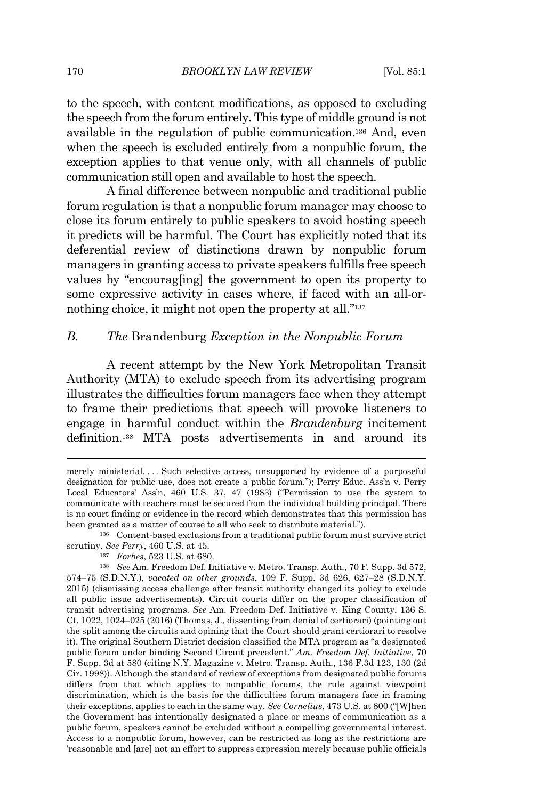to the speech, with content modifications, as opposed to excluding the speech from the forum entirely. This type of middle ground is not available in the regulation of public communication.<sup>136</sup> And, even when the speech is excluded entirely from a nonpublic forum, the exception applies to that venue only, with all channels of public communication still open and available to host the speech.

A final difference between nonpublic and traditional public forum regulation is that a nonpublic forum manager may choose to close its forum entirely to public speakers to avoid hosting speech it predicts will be harmful. The Court has explicitly noted that its deferential review of distinctions drawn by nonpublic forum managers in granting access to private speakers fulfills free speech values by "encourag[ing] the government to open its property to some expressive activity in cases where, if faced with an all-ornothing choice, it might not open the property at all."<sup>137</sup>

## *B. The* Brandenburg *Exception in the Nonpublic Forum*

A recent attempt by the New York Metropolitan Transit Authority (MTA) to exclude speech from its advertising program illustrates the difficulties forum managers face when they attempt to frame their predictions that speech will provoke listeners to engage in harmful conduct within the *Brandenburg* incitement definition.<sup>138</sup> MTA posts advertisements in and around its

merely ministerial. . . . Such selective access, unsupported by evidence of a purposeful designation for public use, does not create a public forum."); Perry Educ. Ass'n v. Perry Local Educators' Ass'n, 460 U.S. 37, 47 (1983) ("Permission to use the system to communicate with teachers must be secured from the individual building principal. There is no court finding or evidence in the record which demonstrates that this permission has been granted as a matter of course to all who seek to distribute material.").

<sup>136</sup> Content-based exclusions from a traditional public forum must survive strict scrutiny. *See Perry*, 460 U.S. at 45.

<sup>137</sup> *Forbes*, 523 U.S. at 680.

<sup>138</sup> *See* Am. Freedom Def. Initiative v. Metro. Transp. Auth., 70 F. Supp. 3d 572, 574–75 (S.D.N.Y.), *vacated on other grounds*, 109 F. Supp. 3d 626, 627–28 (S.D.N.Y. 2015) (dismissing access challenge after transit authority changed its policy to exclude all public issue advertisements). Circuit courts differ on the proper classification of transit advertising programs. *See* Am. Freedom Def. Initiative v. King County, 136 S. Ct. 1022, 1024–025 (2016) (Thomas, J., dissenting from denial of certiorari) (pointing out the split among the circuits and opining that the Court should grant certiorari to resolve it). The original Southern District decision classified the MTA program as "a designated public forum under binding Second Circuit precedent." *Am. Freedom Def. Initiative*, 70 F. Supp. 3d at 580 (citing N.Y. Magazine v. Metro. Transp. Auth., 136 F.3d 123, 130 (2d Cir. 1998)). Although the standard of review of exceptions from designated public forums differs from that which applies to nonpublic forums, the rule against viewpoint discrimination, which is the basis for the difficulties forum managers face in framing their exceptions, applies to each in the same way. *See Cornelius*, 473 U.S. at 800 ("[W]hen the Government has intentionally designated a place or means of communication as a public forum, speakers cannot be excluded without a compelling governmental interest. Access to a nonpublic forum, however, can be restricted as long as the restrictions are 'reasonable and [are] not an effort to suppress expression merely because public officials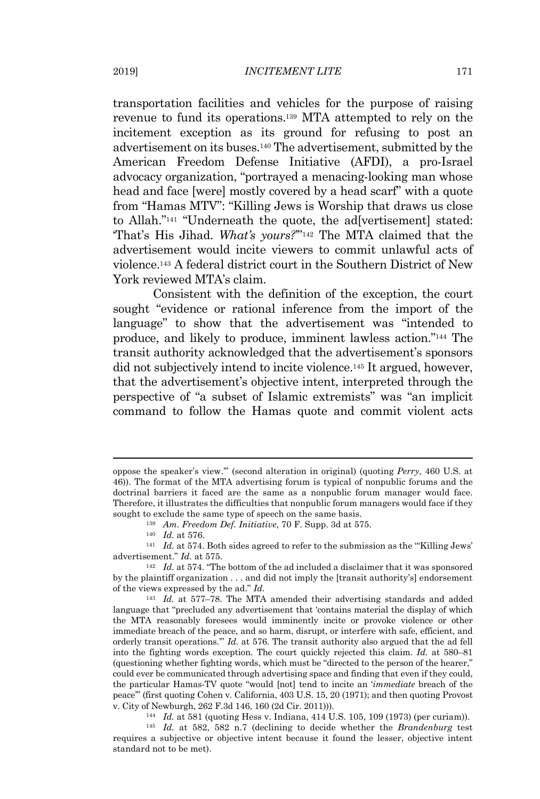transportation facilities and vehicles for the purpose of raising revenue to fund its operations. <sup>139</sup> MTA attempted to rely on the incitement exception as its ground for refusing to post an advertisement on its buses.<sup>140</sup> The advertisement, submitted by the American Freedom Defense Initiative (AFDI), a pro-Israel advocacy organization, "portrayed a menacing-looking man whose head and face [were] mostly covered by a head scarf" with a quote

from "Hamas MTV": "Killing Jews is Worship that draws us close to Allah."<sup>141</sup> "Underneath the quote, the ad[vertisement] stated: 'That's His Jihad. *What's yours?*'" <sup>142</sup> The MTA claimed that the advertisement would incite viewers to commit unlawful acts of violence.<sup>143</sup> A federal district court in the Southern District of New York reviewed MTA's claim.

Consistent with the definition of the exception, the court sought "evidence or rational inference from the import of the language" to show that the advertisement was "intended to produce, and likely to produce, imminent lawless action."<sup>144</sup> The transit authority acknowledged that the advertisement's sponsors did not subjectively intend to incite violence. <sup>145</sup> It argued, however, that the advertisement's objective intent, interpreted through the perspective of "a subset of Islamic extremists" was "an implicit command to follow the Hamas quote and commit violent acts

<sup>144</sup> *Id.* at 581 (quoting Hess v. Indiana, 414 U.S. 105, 109 (1973) (per curiam)).

<sup>145</sup> *Id.* at 582, 582 n.7 (declining to decide whether the *Brandenburg* test requires a subjective or objective intent because it found the lesser, objective intent standard not to be met).

oppose the speaker's view.'" (second alteration in original) (quoting *Perry*, 460 U.S. at 46)). The format of the MTA advertising forum is typical of nonpublic forums and the doctrinal barriers it faced are the same as a nonpublic forum manager would face. Therefore, it illustrates the difficulties that nonpublic forum managers would face if they sought to exclude the same type of speech on the same basis.

<sup>139</sup> *Am. Freedom Def. Initiative*, 70 F. Supp. 3d at 575.

<sup>140</sup> *Id.* at 576.

<sup>&</sup>lt;sup>141</sup> *Id.* at 574. Both sides agreed to refer to the submission as the "Killing Jews" advertisement." *Id.* at 575.

<sup>142</sup> *Id.* at 574. "The bottom of the ad included a disclaimer that it was sponsored by the plaintiff organization . . . and did not imply the [transit authority's] endorsement of the views expressed by the ad." *Id.*

<sup>143</sup> *Id.* at 577–78. The MTA amended their advertising standards and added language that "precluded any advertisement that 'contains material the display of which the MTA reasonably foresees would imminently incite or provoke violence or other immediate breach of the peace, and so harm, disrupt, or interfere with safe, efficient, and orderly transit operations.'" *Id.* at 576. The transit authority also argued that the ad fell into the fighting words exception. The court quickly rejected this claim. *Id.* at 580–81 (questioning whether fighting words, which must be "directed to the person of the hearer," could ever be communicated through advertising space and finding that even if they could, the particular Hamas-TV quote "would [not] tend to incite an '*immediate* breach of the peace'" (first quoting Cohen v. California, 403 U.S. 15, 20 (1971); and then quoting Provost v. City of Newburgh, 262 F.3d 146, 160 (2d Cir. 2011))).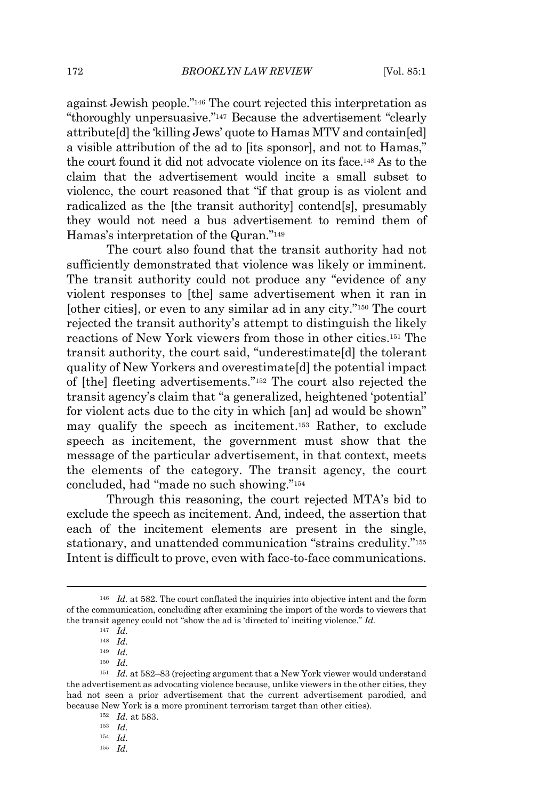against Jewish people."<sup>146</sup> The court rejected this interpretation as "thoroughly unpersuasive."<sup>147</sup> Because the advertisement "clearly attribute[d] the 'killing Jews' quote to Hamas MTV and contain[ed] a visible attribution of the ad to [its sponsor], and not to Hamas," the court found it did not advocate violence on its face. <sup>148</sup> As to the claim that the advertisement would incite a small subset to violence, the court reasoned that "if that group is as violent and radicalized as the [the transit authority] contend[s], presumably they would not need a bus advertisement to remind them of Hamas's interpretation of the Quran." 149

The court also found that the transit authority had not sufficiently demonstrated that violence was likely or imminent. The transit authority could not produce any "evidence of any violent responses to [the] same advertisement when it ran in [other cities], or even to any similar ad in any city."<sup>150</sup> The court rejected the transit authority's attempt to distinguish the likely reactions of New York viewers from those in other cities.<sup>151</sup> The transit authority, the court said, "underestimate[d] the tolerant quality of New Yorkers and overestimate[d] the potential impact of [the] fleeting advertisements."<sup>152</sup> The court also rejected the transit agency's claim that "a generalized, heightened 'potential' for violent acts due to the city in which [an] ad would be shown" may qualify the speech as incitement.<sup>153</sup> Rather, to exclude speech as incitement, the government must show that the message of the particular advertisement, in that context, meets the elements of the category. The transit agency, the court concluded, had "made no such showing."<sup>154</sup>

Through this reasoning, the court rejected MTA's bid to exclude the speech as incitement. And, indeed, the assertion that each of the incitement elements are present in the single, stationary, and unattended communication "strains credulity." 155 Intent is difficult to prove, even with face-to-face communications.

<sup>&</sup>lt;sup>146</sup> *Id.* at 582. The court conflated the inquiries into objective intent and the form of the communication, concluding after examining the import of the words to viewers that the transit agency could not "show the ad is 'directed to' inciting violence." *Id.*

<sup>147</sup> *Id.*

<sup>148</sup> *Id.*

<sup>149</sup> *Id.*

<sup>150</sup> *Id.*

<sup>151</sup> *Id.* at 582–83 (rejecting argument that a New York viewer would understand the advertisement as advocating violence because, unlike viewers in the other cities, they had not seen a prior advertisement that the current advertisement parodied, and because New York is a more prominent terrorism target than other cities).

<sup>152</sup> *Id.* at 583.

<sup>153</sup> *Id.*

<sup>154</sup> *Id.*

<sup>155</sup> *Id.*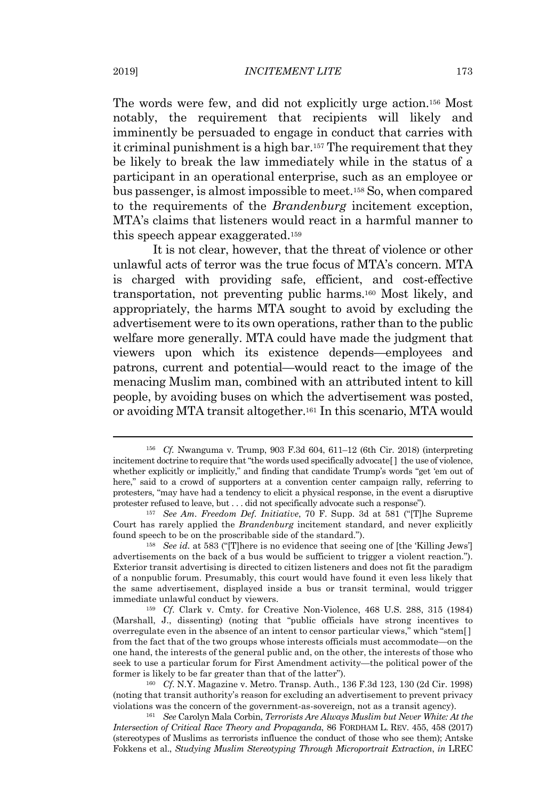The words were few, and did not explicitly urge action.<sup>156</sup> Most notably, the requirement that recipients will likely and imminently be persuaded to engage in conduct that carries with it criminal punishment is a high bar. <sup>157</sup> The requirement that they be likely to break the law immediately while in the status of a participant in an operational enterprise, such as an employee or bus passenger, is almost impossible to meet.<sup>158</sup> So, when compared to the requirements of the *Brandenburg* incitement exception, MTA's claims that listeners would react in a harmful manner to this speech appear exaggerated. 159

It is not clear, however, that the threat of violence or other unlawful acts of terror was the true focus of MTA's concern. MTA is charged with providing safe, efficient, and cost-effective transportation, not preventing public harms.<sup>160</sup> Most likely, and appropriately, the harms MTA sought to avoid by excluding the advertisement were to its own operations, rather than to the public welfare more generally. MTA could have made the judgment that viewers upon which its existence depends—employees and patrons, current and potential—would react to the image of the menacing Muslim man, combined with an attributed intent to kill people, by avoiding buses on which the advertisement was posted, or avoiding MTA transit altogether. <sup>161</sup> In this scenario, MTA would

<sup>156</sup> *Cf.* Nwanguma v. Trump, 903 F.3d 604, 611–12 (6th Cir. 2018) (interpreting incitement doctrine to require that "the words used specifically advocate<sup>[]</sup> the use of violence, whether explicitly or implicitly," and finding that candidate Trump's words "get 'em out of here," said to a crowd of supporters at a convention center campaign rally, referring to protesters, "may have had a tendency to elicit a physical response, in the event a disruptive protester refused to leave, but . . . did not specifically advocate such a response").

<sup>157</sup> *See Am. Freedom Def. Initiative*, 70 F. Supp. 3d at 581 ("[T]he Supreme Court has rarely applied the *Brandenburg* incitement standard, and never explicitly found speech to be on the proscribable side of the standard.").

<sup>158</sup> *See id.* at 583 ("[T]here is no evidence that seeing one of [the 'Killing Jews'] advertisements on the back of a bus would be sufficient to trigger a violent reaction."). Exterior transit advertising is directed to citizen listeners and does not fit the paradigm of a nonpublic forum. Presumably, this court would have found it even less likely that the same advertisement, displayed inside a bus or transit terminal, would trigger immediate unlawful conduct by viewers.

<sup>159</sup> *Cf*. Clark v. Cmty. for Creative Non-Violence, 468 U.S. 288, 315 (1984) (Marshall, J., dissenting) (noting that "public officials have strong incentives to overregulate even in the absence of an intent to censor particular views," which "stem[ ] from the fact that of the two groups whose interests officials must accommodate—on the one hand, the interests of the general public and, on the other, the interests of those who seek to use a particular forum for First Amendment activity—the political power of the former is likely to be far greater than that of the latter").

<sup>160</sup> *Cf*. N.Y. Magazine v. Metro. Transp. Auth., 136 F.3d 123, 130 (2d Cir. 1998) (noting that transit authority's reason for excluding an advertisement to prevent privacy violations was the concern of the government-as-sovereign, not as a transit agency).

<sup>161</sup> *See* Carolyn Mala Corbin, *Terrorists Are Always Muslim but Never White: At the Intersection of Critical Race Theory and Propaganda*, 86 FORDHAM L. REV. 455, 458 (2017) (stereotypes of Muslims as terrorists influence the conduct of those who see them); Antske Fokkens et al., *Studying Muslim Stereotyping Through Microportrait Extraction*, *in* LREC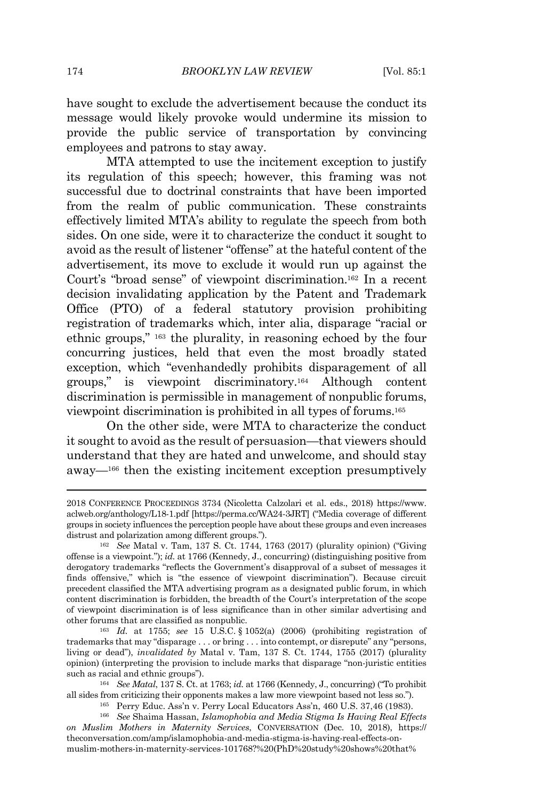have sought to exclude the advertisement because the conduct its message would likely provoke would undermine its mission to provide the public service of transportation by convincing employees and patrons to stay away.

MTA attempted to use the incitement exception to justify its regulation of this speech; however, this framing was not successful due to doctrinal constraints that have been imported from the realm of public communication. These constraints effectively limited MTA's ability to regulate the speech from both sides. On one side, were it to characterize the conduct it sought to avoid as the result of listener "offense" at the hateful content of the advertisement, its move to exclude it would run up against the Court's "broad sense" of viewpoint discrimination.<sup>162</sup> In a recent decision invalidating application by the Patent and Trademark Office (PTO) of a federal statutory provision prohibiting registration of trademarks which, inter alia, disparage "racial or ethnic groups," <sup>163</sup> the plurality, in reasoning echoed by the four concurring justices, held that even the most broadly stated exception, which "evenhandedly prohibits disparagement of all groups," is viewpoint discriminatory.<sup>164</sup> Although content discrimination is permissible in management of nonpublic forums, viewpoint discrimination is prohibited in all types of forums.<sup>165</sup>

On the other side, were MTA to characterize the conduct it sought to avoid as the result of persuasion—that viewers should understand that they are hated and unwelcome, and should stay away—<sup>166</sup> then the existing incitement exception presumptively

<sup>2018</sup> CONFERENCE PROCEEDINGS 3734 (Nicoletta Calzolari et al. eds., 2018) https://www. aclweb.org/anthology/L18-1.pdf [https://perma.cc/WA24-3JRT] ("Media coverage of different groups in society influences the perception people have aboutthese groups and even increases distrust and polarization among different groups.").

<sup>162</sup> *See* Matal v. Tam, 137 S. Ct. 1744, 1763 (2017) (plurality opinion) ("Giving offense is a viewpoint."); *id.* at 1766 (Kennedy, J., concurring) (distinguishing positive from derogatory trademarks "reflects the Government's disapproval of a subset of messages it finds offensive," which is "the essence of viewpoint discrimination"). Because circuit precedent classified the MTA advertising program as a designated public forum, in which content discrimination is forbidden, the breadth of the Court's interpretation of the scope of viewpoint discrimination is of less significance than in other similar advertising and other forums that are classified as nonpublic.

<sup>163</sup> *Id.* at 1755; *see* 15 U.S.C. § 1052(a) (2006) (prohibiting registration of trademarks that may "disparage . . . or bring . . . into contempt, or disrepute" any "persons, living or dead"), *invalidated by* Matal v. Tam, 137 S. Ct. 1744, 1755 (2017) (plurality opinion) (interpreting the provision to include marks that disparage "non-juristic entities such as racial and ethnic groups").

<sup>164</sup> *See Matal*, 137 S. Ct. at 1763; *id.* at 1766 (Kennedy, J., concurring) ("To prohibit all sides from criticizing their opponents makes a law more viewpoint based not less so.").

<sup>165</sup> Perry Educ. Ass'n v. Perry Local Educators Ass'n, 460 U.S. 37,46 (1983).

<sup>166</sup> *See* Shaima Hassan, *Islamophobia and Media Stigma Is Having Real Effects on Muslim Mothers in Maternity Services*, CONVERSATION (Dec. 10, 2018), https:// theconversation.com/amp/islamophobia-and-media-stigma-is-having-real-effects-onmuslim-mothers-in-maternity-services-101768?%20(PhD%20study%20shows%20that%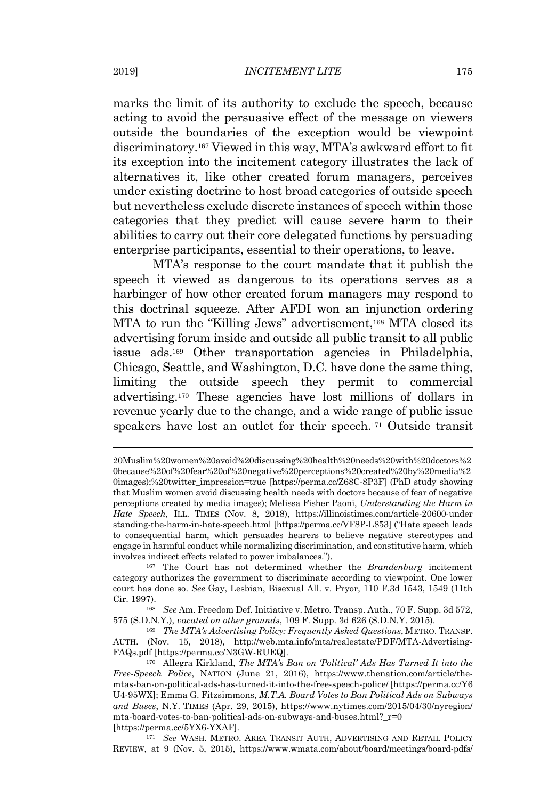marks the limit of its authority to exclude the speech, because acting to avoid the persuasive effect of the message on viewers outside the boundaries of the exception would be viewpoint discriminatory. <sup>167</sup> Viewed in this way, MTA's awkward effort to fit its exception into the incitement category illustrates the lack of alternatives it, like other created forum managers, perceives under existing doctrine to host broad categories of outside speech but nevertheless exclude discrete instances of speech within those categories that they predict will cause severe harm to their abilities to carry out their core delegated functions by persuading enterprise participants, essential to their operations, to leave.

MTA's response to the court mandate that it publish the speech it viewed as dangerous to its operations serves as a harbinger of how other created forum managers may respond to this doctrinal squeeze. After AFDI won an injunction ordering MTA to run the "Killing Jews" advertisement,<sup>168</sup> MTA closed its advertising forum inside and outside all public transit to all public issue ads.<sup>169</sup> Other transportation agencies in Philadelphia, Chicago, Seattle, and Washington, D.C. have done the same thing, limiting the outside speech they permit to commercial advertising.<sup>170</sup> These agencies have lost millions of dollars in revenue yearly due to the change, and a wide range of public issue speakers have lost an outlet for their speech.<sup>171</sup> Outside transit

<sup>171</sup> *See* WASH. METRO. AREA TRANSIT AUTH, ADVERTISING AND RETAIL POLICY REVIEW, at 9 (Nov. 5, 2015), https://www.wmata.com/about/board/meetings/board-pdfs/

<sup>20</sup>Muslim%20women%20avoid%20discussing%20health%20needs%20with%20doctors%2 0because%20of%20fear%20of%20negative%20perceptions%20created%20by%20media%2 0images);%20twitter\_impression=true [https://perma.cc/Z68C-8P3F] (PhD study showing that Muslim women avoid discussing health needs with doctors because of fear of negative perceptions created by media images); Melissa Fisher Paoni, *Understanding the Harm in Hate Speech*, ILL. TIMES (Nov. 8, 2018), https://illinoistimes.com/article-20600-under standing-the-harm-in-hate-speech.html [https://perma.cc/VF8P-L853] ("Hate speech leads to consequential harm, which persuades hearers to believe negative stereotypes and engage in harmful conduct while normalizing discrimination, and constitutive harm, which involves indirect effects related to power imbalances.").

<sup>167</sup> The Court has not determined whether the *Brandenburg* incitement category authorizes the government to discriminate according to viewpoint. One lower court has done so. *See* Gay, Lesbian, Bisexual All. v. Pryor, 110 F.3d 1543, 1549 (11th Cir. 1997).

<sup>168</sup> *See* Am. Freedom Def. Initiative v. Metro. Transp. Auth., 70 F. Supp. 3d 572, 575 (S.D.N.Y.), *vacated on other grounds*, 109 F. Supp. 3d 626 (S.D.N.Y. 2015).

<sup>169</sup> *The MTA's Advertising Policy: Frequently Asked Questions*, METRO. TRANSP. AUTH. (Nov. 15, 2018), http://web.mta.info/mta/realestate/PDF/MTA-Advertising-FAQs.pdf [https://perma.cc/N3GW-RUEQ].

<sup>170</sup> Allegra Kirkland, *The MTA's Ban on 'Political' Ads Has Turned It into the Free-Speech Police*, NATION (June 21, 2016), https://www.thenation.com/article/themtas-ban-on-political-ads-has-turned-it-into-the-free-speech-police/ [https://perma.cc/Y6 U4-95WX]; Emma G. Fitzsimmons, *M.T.A. Board Votes to Ban Political Ads on Subways and Buses*, N.Y. TIMES (Apr. 29, 2015), https://www.nytimes.com/2015/04/30/nyregion/ mta-board-votes-to-ban-political-ads-on-subways-and-buses.html?\_r=0 [https://perma.cc/5YX6-YXAF].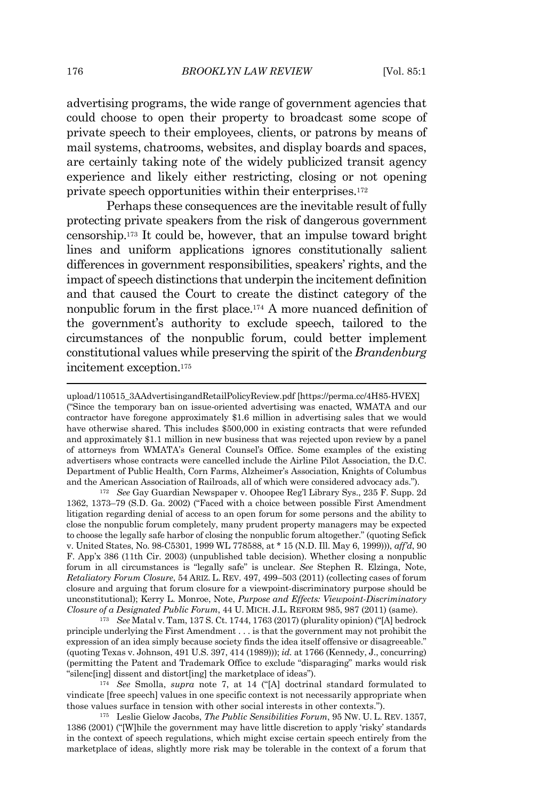advertising programs, the wide range of government agencies that could choose to open their property to broadcast some scope of private speech to their employees, clients, or patrons by means of mail systems, chatrooms, websites, and display boards and spaces, are certainly taking note of the widely publicized transit agency experience and likely either restricting, closing or not opening private speech opportunities within their enterprises.<sup>172</sup>

Perhaps these consequences are the inevitable result of fully protecting private speakers from the risk of dangerous government censorship.<sup>173</sup> It could be, however, that an impulse toward bright lines and uniform applications ignores constitutionally salient differences in government responsibilities, speakers' rights, and the impact of speech distinctions that underpin the incitement definition and that caused the Court to create the distinct category of the nonpublic forum in the first place.<sup>174</sup> A more nuanced definition of the government's authority to exclude speech, tailored to the circumstances of the nonpublic forum, could better implement constitutional values while preserving the spirit of the *Brandenburg* incitement exception. 175

<sup>172</sup> *See* Gay Guardian Newspaper v. Ohoopee Reg'l Library Sys., 235 F. Supp. 2d 1362, 1373–79 (S.D. Ga. 2002) ("Faced with a choice between possible First Amendment litigation regarding denial of access to an open forum for some persons and the ability to close the nonpublic forum completely, many prudent property managers may be expected to choose the legally safe harbor of closing the nonpublic forum altogether." (quoting Sefick v. United States, No. 98-C5301, 1999 WL 778588, at \* 15 (N.D. Ill. May 6, 1999))), *aff'd*, 90 F. App'x 386 (11th Cir. 2003) (unpublished table decision). Whether closing a nonpublic forum in all circumstances is "legally safe" is unclear. *See* Stephen R. Elzinga, Note, *Retaliatory Forum Closure*, 54 ARIZ. L. REV. 497, 499–503 (2011) (collecting cases of forum closure and arguing that forum closure for a viewpoint-discriminatory purpose should be unconstitutional); Kerry L. Monroe, Note, *Purpose and Effects: Viewpoint-Discriminatory Closure of a Designated Public Forum*, 44 U. MICH. J.L. REFORM 985, 987 (2011) (same).

<sup>173</sup> *See* Matal v. Tam, 137 S. Ct. 1744, 1763 (2017) (plurality opinion) ("[A] bedrock principle underlying the First Amendment . . . is that the government may not prohibit the expression of an idea simply because society finds the idea itself offensive or disagreeable." (quoting Texas v. Johnson, 491 U.S. 397, 414 (1989))); *id.* at 1766 (Kennedy, J., concurring) (permitting the Patent and Trademark Office to exclude "disparaging" marks would risk "silenc[ing] dissent and distort[ing] the marketplace of ideas").

<sup>174</sup> *See* Smolla, *supra* note 7, at 14 ("[A] doctrinal standard formulated to vindicate [free speech] values in one specific context is not necessarily appropriate when those values surface in tension with other social interests in other contexts.").

<sup>175</sup> Leslie Gielow Jacobs, *The Public Sensibilities Forum*, 95 NW. U. L. REV. 1357, 1386 (2001) ("[W]hile the government may have little discretion to apply 'risky' standards in the context of speech regulations, which might excise certain speech entirely from the marketplace of ideas, slightly more risk may be tolerable in the context of a forum that

upload/110515\_3AAdvertisingandRetailPolicyReview.pdf [https://perma.cc/4H85-HVEX] ("Since the temporary ban on issue-oriented advertising was enacted, WMATA and our contractor have foregone approximately \$1.6 million in advertising sales that we would have otherwise shared. This includes \$500,000 in existing contracts that were refunded and approximately \$1.1 million in new business that was rejected upon review by a panel of attorneys from WMATA's General Counsel's Office. Some examples of the existing advertisers whose contracts were cancelled include the Airline Pilot Association, the D.C. Department of Public Health, Corn Farms, Alzheimer's Association, Knights of Columbus and the American Association of Railroads, all of which were considered advocacy ads.").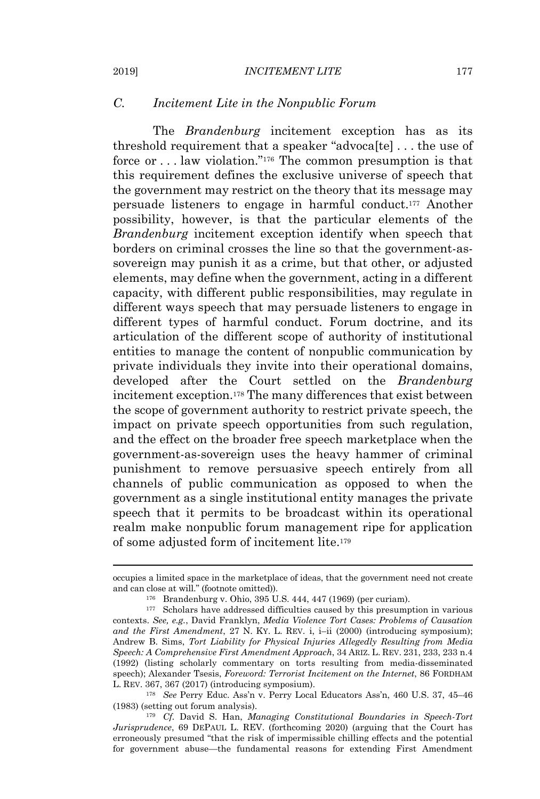## *C. Incitement Lite in the Nonpublic Forum*

The *Brandenburg* incitement exception has as its threshold requirement that a speaker "advoca[te] . . . the use of force or . . . law violation."<sup>176</sup> The common presumption is that this requirement defines the exclusive universe of speech that the government may restrict on the theory that its message may persuade listeners to engage in harmful conduct.<sup>177</sup> Another possibility, however, is that the particular elements of the *Brandenburg* incitement exception identify when speech that borders on criminal crosses the line so that the government-assovereign may punish it as a crime, but that other, or adjusted elements, may define when the government, acting in a different capacity, with different public responsibilities, may regulate in different ways speech that may persuade listeners to engage in different types of harmful conduct. Forum doctrine, and its articulation of the different scope of authority of institutional entities to manage the content of nonpublic communication by private individuals they invite into their operational domains, developed after the Court settled on the *Brandenburg* incitement exception.<sup>178</sup> The many differences that exist between the scope of government authority to restrict private speech, the impact on private speech opportunities from such regulation, and the effect on the broader free speech marketplace when the government-as-sovereign uses the heavy hammer of criminal punishment to remove persuasive speech entirely from all channels of public communication as opposed to when the government as a single institutional entity manages the private speech that it permits to be broadcast within its operational realm make nonpublic forum management ripe for application of some adjusted form of incitement lite.<sup>179</sup>

occupies a limited space in the marketplace of ideas, that the government need not create and can close at will." (footnote omitted)).

<sup>176</sup> Brandenburg v. Ohio, 395 U.S. 444, 447 (1969) (per curiam).

<sup>177</sup> Scholars have addressed difficulties caused by this presumption in various contexts. *See, e.g.*, David Franklyn, *Media Violence Tort Cases: Problems of Causation and the First Amendment*, 27 N. KY. L. REV. i, i–ii (2000) (introducing symposium); Andrew B. Sims, *Tort Liability for Physical Injuries Allegedly Resulting from Media Speech: A Comprehensive First Amendment Approach*, 34 ARIZ. L. REV. 231, 233, 233 n.4 (1992) (listing scholarly commentary on torts resulting from media-disseminated speech); Alexander Tsesis, *Foreword: Terrorist Incitement on the Internet*, 86 FORDHAM L. REV. 367, 367 (2017) (introducing symposium).

<sup>178</sup> *See* Perry Educ. Ass'n v. Perry Local Educators Ass'n, 460 U.S. 37, 45–46 (1983) (setting out forum analysis).

<sup>179</sup> *Cf.* David S. Han, *Managing Constitutional Boundaries in Speech-Tort Jurisprudence*, 69 DEPAUL L. REV. (forthcoming 2020) (arguing that the Court has erroneously presumed "that the risk of impermissible chilling effects and the potential for government abuse—the fundamental reasons for extending First Amendment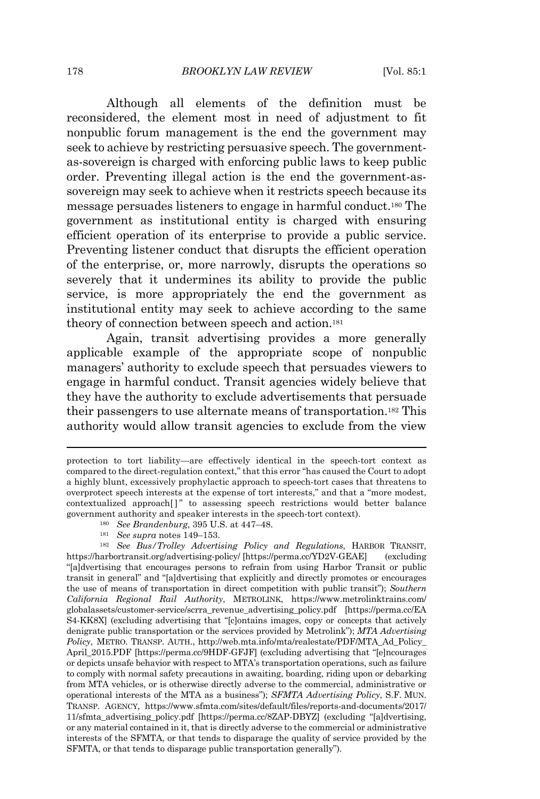Although all elements of the definition must be reconsidered, the element most in need of adjustment to fit nonpublic forum management is the end the government may seek to achieve by restricting persuasive speech. The governmentas-sovereign is charged with enforcing public laws to keep public order. Preventing illegal action is the end the government-assovereign may seek to achieve when it restricts speech because its message persuades listeners to engage in harmful conduct. <sup>180</sup> The government as institutional entity is charged with ensuring efficient operation of its enterprise to provide a public service. Preventing listener conduct that disrupts the efficient operation of the enterprise, or, more narrowly, disrupts the operations so severely that it undermines its ability to provide the public service, is more appropriately the end the government as institutional entity may seek to achieve according to the same theory of connection between speech and action.<sup>181</sup>

Again, transit advertising provides a more generally applicable example of the appropriate scope of nonpublic managers' authority to exclude speech that persuades viewers to engage in harmful conduct. Transit agencies widely believe that they have the authority to exclude advertisements that persuade their passengers to use alternate means of transportation.<sup>182</sup> This authority would allow transit agencies to exclude from the view

protection to tort liability—are effectively identical in the speech-tort context as compared to the direct-regulation context," that this error "has caused the Court to adopt a highly blunt, excessively prophylactic approach to speech-tort cases that threatens to overprotect speech interests at the expense of tort interests," and that a "more modest, contextualized approach[ ]" to assessing speech restrictions would better balance government authority and speaker interests in the speech-tort context).

<sup>180</sup> *See Brandenburg*, 395 U.S. at 447–48.

<sup>181</sup> *See supra* notes 149–153.

<sup>182</sup> *See Bus/Trolley Advertising Policy and Regulations*, HARBOR TRANSIT, https://harbortransit.org/advertising-policy/ [https://perma.cc/YD2V-GEAE] (excluding "[a]dvertising that encourages persons to refrain from using Harbor Transit or public transit in general" and "[a]dvertising that explicitly and directly promotes or encourages the use of means of transportation in direct competition with public transit"); *Southern California Regional Rail Authority*, METROLINK, https://www.metrolinktrains.com/ globalassets/customer-service/scrra\_revenue\_advertising\_policy.pdf [https://perma.cc/EA S4-KK8X] (excluding advertising that "[c]ontains images, copy or concepts that actively denigrate public transportation or the services provided by Metrolink"); *MTA Advertising Policy*, METRO. TRANSP. AUTH., http://web.mta.info/mta/realestate/PDF/MTA\_Ad\_Policy\_ April\_2015.PDF [https://perma.cc/9HDF-GFJF] (excluding advertising that "[e]ncourages or depicts unsafe behavior with respect to MTA's transportation operations, such as failure to comply with normal safety precautions in awaiting, boarding, riding upon or debarking from MTA vehicles, or is otherwise directly adverse to the commercial, administrative or operational interests of the MTA as a business"); *SFMTA Advertising Policy*, S.F. MUN. TRANSP. AGENCY, https://www.sfmta.com/sites/default/files/reports-and-documents/2017/ 11/sfmta\_advertising\_policy.pdf [https://perma.cc/8ZAP-DBYZ] (excluding "[a]dvertising, or any material contained in it, that is directly adverse to the commercial or administrative interests of the SFMTA, or that tends to disparage the quality of service provided by the SFMTA, or that tends to disparage public transportation generally").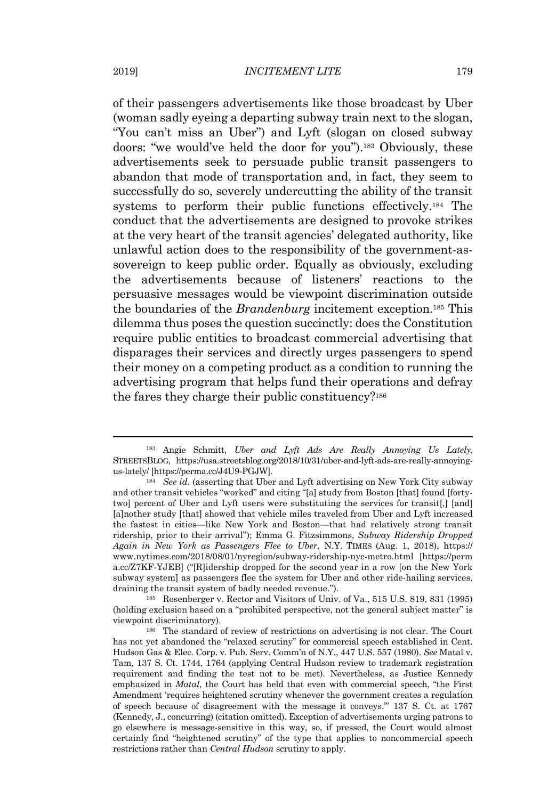of their passengers advertisements like those broadcast by Uber (woman sadly eyeing a departing subway train next to the slogan, "You can't miss an Uber") and Lyft (slogan on closed subway doors: "we would've held the door for you").<sup>183</sup> Obviously, these advertisements seek to persuade public transit passengers to abandon that mode of transportation and, in fact, they seem to successfully do so, severely undercutting the ability of the transit systems to perform their public functions effectively.<sup>184</sup> The conduct that the advertisements are designed to provoke strikes at the very heart of the transit agencies' delegated authority, like unlawful action does to the responsibility of the government-assovereign to keep public order. Equally as obviously, excluding the advertisements because of listeners' reactions to the persuasive messages would be viewpoint discrimination outside the boundaries of the *Brandenburg* incitement exception.<sup>185</sup> This dilemma thus poses the question succinctly: does the Constitution require public entities to broadcast commercial advertising that disparages their services and directly urges passengers to spend their money on a competing product as a condition to running the advertising program that helps fund their operations and defray the fares they charge their public constituency?<sup>186</sup>

<sup>185</sup> Rosenberger v. Rector and Visitors of Univ. of Va., 515 U.S. 819, 831 (1995) (holding exclusion based on a "prohibited perspective, not the general subject matter" is viewpoint discriminatory).

<sup>183</sup> Angie Schmitt, *Uber and Lyft Ads Are Really Annoying Us Lately*, STREETSBLOG, https://usa.streetsblog.org/2018/10/31/uber-and-lyft-ads-are-really-annoyingus-lately/ [https://perma.cc/J4U9-PGJW].

<sup>184</sup> *See id.* (asserting that Uber and Lyft advertising on New York City subway and other transit vehicles "worked" and citing "[a] study from Boston [that] found [fortytwo] percent of Uber and Lyft users were substituting the services for transit[,] [and] [a]nother study [that] showed that vehicle miles traveled from Uber and Lyft increased the fastest in cities—like New York and Boston—that had relatively strong transit ridership, prior to their arrival"); Emma G. Fitzsimmons, *Subway Ridership Dropped Again in New York as Passengers Flee to Uber*, N.Y. TIMES (Aug. 1, 2018), https:// www.nytimes.com/2018/08/01/nyregion/subway-ridership-nyc-metro.html [https://perm a.cc/Z7KF-YJEB] ("[R]idership dropped for the second year in a row [on the New York subway system] as passengers flee the system for Uber and other ride-hailing services, draining the transit system of badly needed revenue.").

<sup>186</sup> The standard of review of restrictions on advertising is not clear. The Court has not yet abandoned the "relaxed scrutiny" for commercial speech established in Cent. Hudson Gas & Elec. Corp. v. Pub. Serv. Comm'n of N.Y., 447 U.S. 557 (1980). *See* Matal v. Tam, 137 S. Ct. 1744, 1764 (applying Central Hudson review to trademark registration requirement and finding the test not to be met). Nevertheless, as Justice Kennedy emphasized in *Matal*, the Court has held that even with commercial speech, "the First Amendment 'requires heightened scrutiny whenever the government creates a regulation of speech because of disagreement with the message it conveys.'" 137 S. Ct. at 1767 (Kennedy, J., concurring) (citation omitted). Exception of advertisements urging patrons to go elsewhere is message-sensitive in this way, so, if pressed, the Court would almost certainly find "heightened scrutiny" of the type that applies to noncommercial speech restrictions rather than *Central Hudson* scrutiny to apply.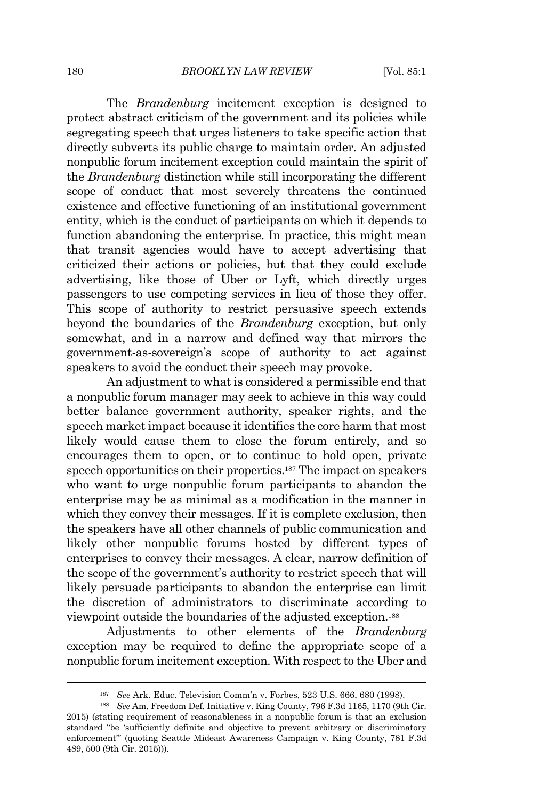The *Brandenburg* incitement exception is designed to protect abstract criticism of the government and its policies while segregating speech that urges listeners to take specific action that directly subverts its public charge to maintain order. An adjusted nonpublic forum incitement exception could maintain the spirit of the *Brandenburg* distinction while still incorporating the different scope of conduct that most severely threatens the continued existence and effective functioning of an institutional government entity, which is the conduct of participants on which it depends to function abandoning the enterprise. In practice, this might mean that transit agencies would have to accept advertising that criticized their actions or policies, but that they could exclude advertising, like those of Uber or Lyft, which directly urges passengers to use competing services in lieu of those they offer. This scope of authority to restrict persuasive speech extends beyond the boundaries of the *Brandenburg* exception, but only somewhat, and in a narrow and defined way that mirrors the government-as-sovereign's scope of authority to act against speakers to avoid the conduct their speech may provoke.

An adjustment to what is considered a permissible end that a nonpublic forum manager may seek to achieve in this way could better balance government authority, speaker rights, and the speech market impact because it identifies the core harm that most likely would cause them to close the forum entirely, and so encourages them to open, or to continue to hold open, private speech opportunities on their properties.<sup>187</sup> The impact on speakers who want to urge nonpublic forum participants to abandon the enterprise may be as minimal as a modification in the manner in which they convey their messages. If it is complete exclusion, then the speakers have all other channels of public communication and likely other nonpublic forums hosted by different types of enterprises to convey their messages. A clear, narrow definition of the scope of the government's authority to restrict speech that will likely persuade participants to abandon the enterprise can limit the discretion of administrators to discriminate according to viewpoint outside the boundaries of the adjusted exception.<sup>188</sup>

Adjustments to other elements of the *Brandenburg* exception may be required to define the appropriate scope of a nonpublic forum incitement exception. With respect to the Uber and

<sup>187</sup> *See* Ark. Educ. Television Comm'n v. Forbes, 523 U.S. 666, 680 (1998).

<sup>188</sup> *See* Am. Freedom Def. Initiative v. King County, 796 F.3d 1165, 1170 (9th Cir. 2015) (stating requirement of reasonableness in a nonpublic forum is that an exclusion standard "be 'sufficiently definite and objective to prevent arbitrary or discriminatory enforcement'" (quoting Seattle Mideast Awareness Campaign v. King County, 781 F.3d 489, 500 (9th Cir. 2015))).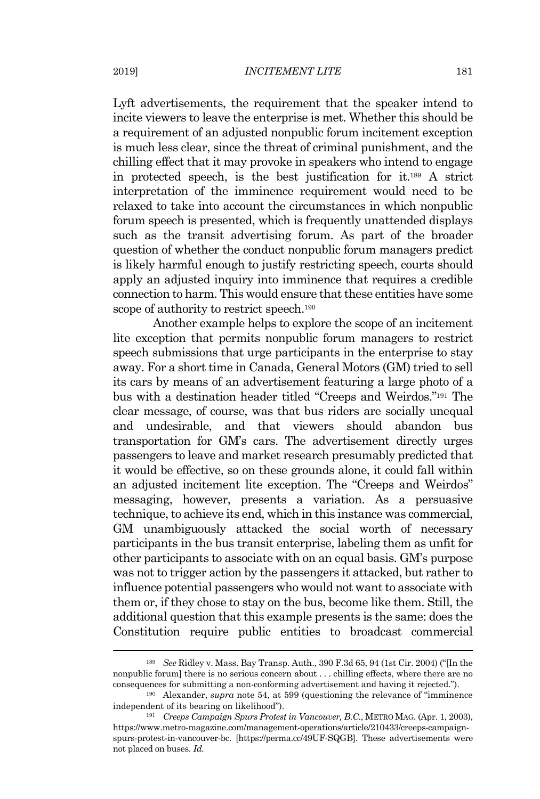Lyft advertisements, the requirement that the speaker intend to incite viewers to leave the enterprise is met. Whether this should be a requirement of an adjusted nonpublic forum incitement exception is much less clear, since the threat of criminal punishment, and the chilling effect that it may provoke in speakers who intend to engage in protected speech, is the best justification for it.<sup>189</sup> A strict interpretation of the imminence requirement would need to be relaxed to take into account the circumstances in which nonpublic forum speech is presented, which is frequently unattended displays such as the transit advertising forum. As part of the broader question of whether the conduct nonpublic forum managers predict is likely harmful enough to justify restricting speech, courts should apply an adjusted inquiry into imminence that requires a credible connection to harm. This would ensure that these entities have some scope of authority to restrict speech.<sup>190</sup>

Another example helps to explore the scope of an incitement lite exception that permits nonpublic forum managers to restrict speech submissions that urge participants in the enterprise to stay away. For a short time in Canada, General Motors (GM) tried to sell its cars by means of an advertisement featuring a large photo of a bus with a destination header titled "Creeps and Weirdos." <sup>191</sup> The clear message, of course, was that bus riders are socially unequal and undesirable, and that viewers should abandon bus transportation for GM's cars. The advertisement directly urges passengers to leave and market research presumably predicted that it would be effective, so on these grounds alone, it could fall within an adjusted incitement lite exception. The "Creeps and Weirdos" messaging, however, presents a variation. As a persuasive technique, to achieve its end, which in this instance was commercial, GM unambiguously attacked the social worth of necessary participants in the bus transit enterprise, labeling them as unfit for other participants to associate with on an equal basis. GM's purpose was not to trigger action by the passengers it attacked, but rather to influence potential passengers who would not want to associate with them or, if they chose to stay on the bus, become like them. Still, the additional question that this example presents is the same: does the Constitution require public entities to broadcast commercial

<sup>189</sup> *See* Ridley v. Mass. Bay Transp. Auth., 390 F.3d 65, 94 (1st Cir. 2004) ("[In the nonpublic forum] there is no serious concern about . . . chilling effects, where there are no consequences for submitting a non-conforming advertisement and having it rejected.").

<sup>190</sup> Alexander, *supra* note 54, at 599 (questioning the relevance of "imminence independent of its bearing on likelihood").

<sup>191</sup> *Creeps Campaign Spurs Protest in Vancouver, B.C.*, METRO MAG. (Apr. 1, 2003), https://www.metro-magazine.com/management-operations/article/210433/creeps-campaignspurs-protest-in-vancouver-bc. [https://perma.cc/49UF-SQGB]. These advertisements were not placed on buses. *Id.*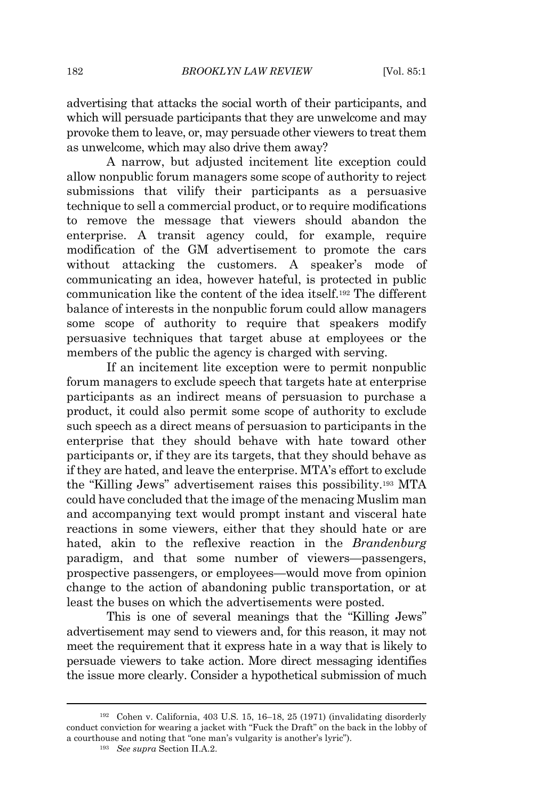advertising that attacks the social worth of their participants, and which will persuade participants that they are unwelcome and may provoke them to leave, or, may persuade other viewers to treat them as unwelcome, which may also drive them away?

A narrow, but adjusted incitement lite exception could allow nonpublic forum managers some scope of authority to reject submissions that vilify their participants as a persuasive technique to sell a commercial product, or to require modifications to remove the message that viewers should abandon the enterprise. A transit agency could, for example, require modification of the GM advertisement to promote the cars without attacking the customers. A speaker's mode of communicating an idea, however hateful, is protected in public communication like the content of the idea itself.<sup>192</sup> The different balance of interests in the nonpublic forum could allow managers some scope of authority to require that speakers modify persuasive techniques that target abuse at employees or the members of the public the agency is charged with serving.

If an incitement lite exception were to permit nonpublic forum managers to exclude speech that targets hate at enterprise participants as an indirect means of persuasion to purchase a product, it could also permit some scope of authority to exclude such speech as a direct means of persuasion to participants in the enterprise that they should behave with hate toward other participants or, if they are its targets, that they should behave as if they are hated, and leave the enterprise. MTA's effort to exclude the "Killing Jews" advertisement raises this possibility.<sup>193</sup> MTA could have concluded that the image of the menacing Muslim man and accompanying text would prompt instant and visceral hate reactions in some viewers, either that they should hate or are hated, akin to the reflexive reaction in the *Brandenburg* paradigm, and that some number of viewers—passengers, prospective passengers, or employees—would move from opinion change to the action of abandoning public transportation, or at least the buses on which the advertisements were posted.

This is one of several meanings that the "Killing Jews" advertisement may send to viewers and, for this reason, it may not meet the requirement that it express hate in a way that is likely to persuade viewers to take action. More direct messaging identifies the issue more clearly. Consider a hypothetical submission of much

<sup>192</sup> Cohen v. California, 403 U.S. 15, 16–18, 25 (1971) (invalidating disorderly conduct conviction for wearing a jacket with "Fuck the Draft" on the back in the lobby of a courthouse and noting that "one man's vulgarity is another's lyric").

<sup>193</sup> *See supra* Section II.A.2.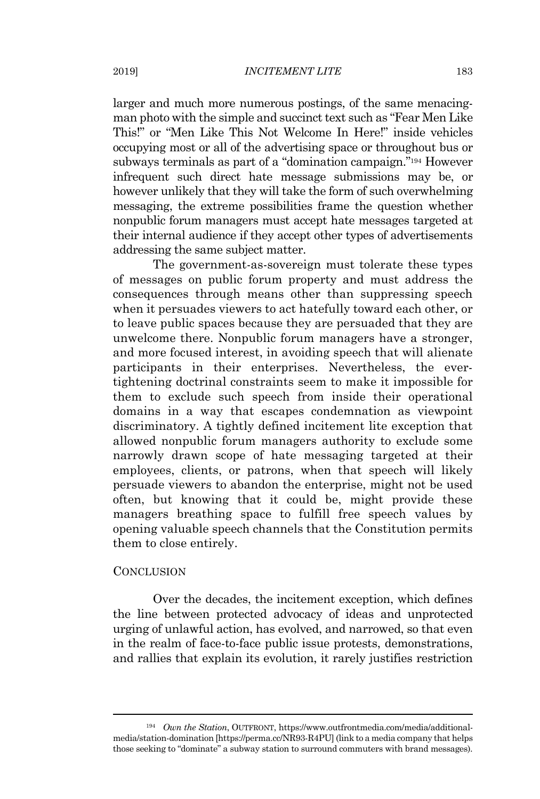larger and much more numerous postings, of the same menacingman photo with the simple and succinct text such as "Fear Men Like" This!" or "Men Like This Not Welcome In Here!" inside vehicles occupying most or all of the advertising space or throughout bus or subways terminals as part of a "domination campaign."<sup>194</sup> However infrequent such direct hate message submissions may be, or however unlikely that they will take the form of such overwhelming messaging, the extreme possibilities frame the question whether nonpublic forum managers must accept hate messages targeted at their internal audience if they accept other types of advertisements addressing the same subject matter.

The government-as-sovereign must tolerate these types of messages on public forum property and must address the consequences through means other than suppressing speech when it persuades viewers to act hatefully toward each other, or to leave public spaces because they are persuaded that they are unwelcome there. Nonpublic forum managers have a stronger, and more focused interest, in avoiding speech that will alienate participants in their enterprises. Nevertheless, the evertightening doctrinal constraints seem to make it impossible for them to exclude such speech from inside their operational domains in a way that escapes condemnation as viewpoint discriminatory. A tightly defined incitement lite exception that allowed nonpublic forum managers authority to exclude some narrowly drawn scope of hate messaging targeted at their employees, clients, or patrons, when that speech will likely persuade viewers to abandon the enterprise, might not be used often, but knowing that it could be, might provide these managers breathing space to fulfill free speech values by opening valuable speech channels that the Constitution permits them to close entirely.

### **CONCLUSION**

Over the decades, the incitement exception, which defines the line between protected advocacy of ideas and unprotected urging of unlawful action, has evolved, and narrowed, so that even in the realm of face-to-face public issue protests, demonstrations, and rallies that explain its evolution, it rarely justifies restriction

<sup>194</sup> *Own the Station*, OUTFRONT, https://www.outfrontmedia.com/media/additionalmedia/station-domination [https://perma.cc/NR93-R4PU] (link to a media company that helps those seeking to "dominate" a subway station to surround commuters with brand messages).